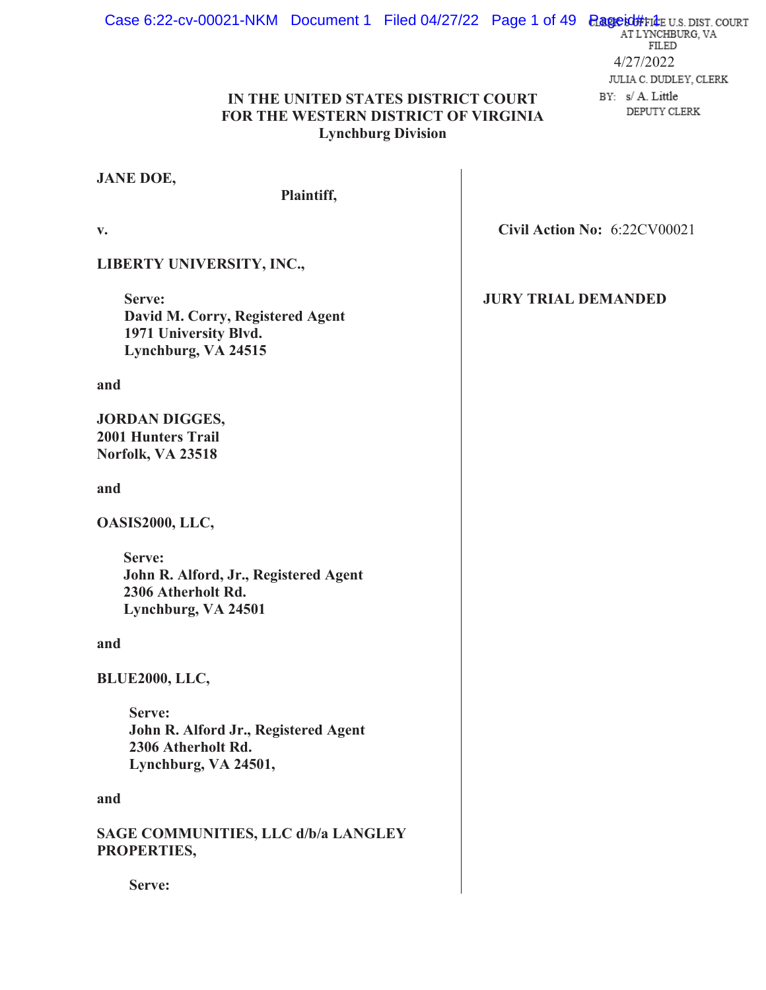#### Case 6:22-cv-00021-NKM Document 1 Filed 04/27/22 Page 1 of 49 **Pageid#File** U.S. DIST. COURT FILED 4/27/2022 JULIA C. DUDLEY, CLERK **IN THE UNITED STATES DISTRICT COURT**  BY: s/A. Little DEPUTY CLERK **FOR THE WESTERN DISTRICT OF VIRGINIA**

# **Lynchburg Division**

# **JANE DOE,**

# **Plaintiff,**

**v.** 

**LIBERTY UNIVERSITY, INC.,** 

 **Serve: David M. Corry, Registered Agent 1971 University Blvd. Lynchburg, VA 24515** 

# **and**

**JORDAN DIGGES, 2001 Hunters Trail Norfolk, VA 23518** 

**and** 

**OASIS2000, LLC,** 

**Serve: John R. Alford, Jr., Registered Agent 2306 Atherholt Rd. Lynchburg, VA 24501** 

**and** 

**BLUE2000, LLC,** 

**Serve: John R. Alford Jr., Registered Agent 2306 Atherholt Rd. Lynchburg, VA 24501,** 

# **and**

**SAGE COMMUNITIES, LLC d/b/a LANGLEY PROPERTIES,** 

**Serve:** 

**Civil Action No:**  6:22CV00021

# **JURY TRIAL DEMANDED**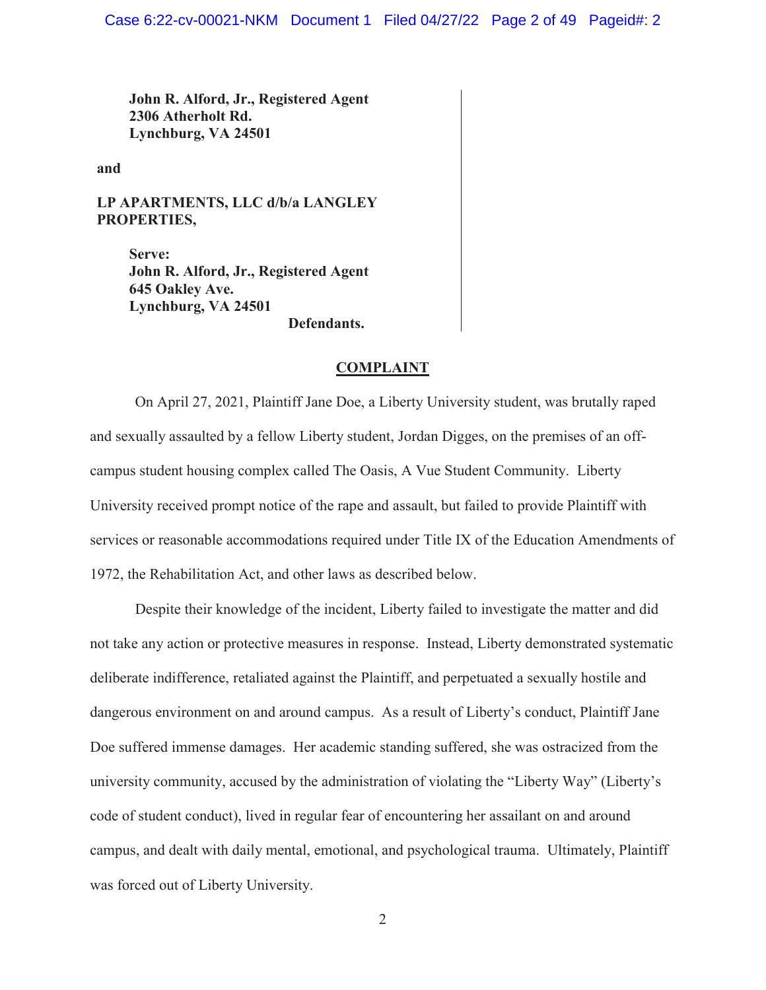**John R. Alford, Jr., Registered Agent 2306 Atherholt Rd. Lynchburg, VA 24501** 

**and** 

**LP APARTMENTS, LLC d/b/a LANGLEY PROPERTIES,** 

> **Serve: John R. Alford, Jr., Registered Agent 645 Oakley Ave. Lynchburg, VA 24501 Defendants.**

#### **COMPLAINT**

 On April 27, 2021, Plaintiff Jane Doe, a Liberty University student, was brutally raped and sexually assaulted by a fellow Liberty student, Jordan Digges, on the premises of an offcampus student housing complex called The Oasis, A Vue Student Community. Liberty University received prompt notice of the rape and assault, but failed to provide Plaintiff with services or reasonable accommodations required under Title IX of the Education Amendments of 1972, the Rehabilitation Act, and other laws as described below.

Despite their knowledge of the incident, Liberty failed to investigate the matter and did not take any action or protective measures in response. Instead, Liberty demonstrated systematic deliberate indifference, retaliated against the Plaintiff, and perpetuated a sexually hostile and dangerous environment on and around campus. As a result of Liberty's conduct, Plaintiff Jane Doe suffered immense damages. Her academic standing suffered, she was ostracized from the university community, accused by the administration of violating the "Liberty Way" (Liberty's code of student conduct), lived in regular fear of encountering her assailant on and around campus, and dealt with daily mental, emotional, and psychological trauma. Ultimately, Plaintiff was forced out of Liberty University.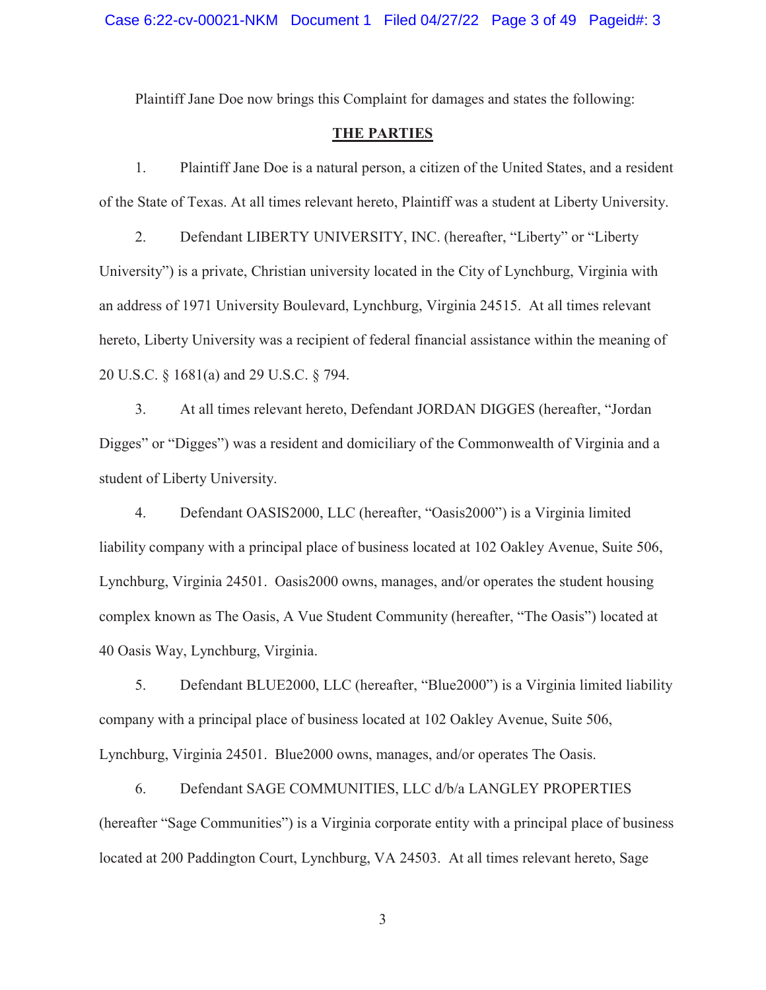Plaintiff Jane Doe now brings this Complaint for damages and states the following:

# **THE PARTIES**

1. Plaintiff Jane Doe is a natural person, a citizen of the United States, and a resident of the State of Texas. At all times relevant hereto, Plaintiff was a student at Liberty University.

2. Defendant LIBERTY UNIVERSITY, INC. (hereafter, "Liberty" or "Liberty University") is a private, Christian university located in the City of Lynchburg, Virginia with an address of 1971 University Boulevard, Lynchburg, Virginia 24515. At all times relevant hereto, Liberty University was a recipient of federal financial assistance within the meaning of 20 U.S.C. § 1681(a) and 29 U.S.C. § 794.

3. At all times relevant hereto, Defendant JORDAN DIGGES (hereafter, "Jordan Digges" or "Digges") was a resident and domiciliary of the Commonwealth of Virginia and a student of Liberty University.

4. Defendant OASIS2000, LLC (hereafter, "Oasis2000") is a Virginia limited liability company with a principal place of business located at 102 Oakley Avenue, Suite 506, Lynchburg, Virginia 24501. Oasis2000 owns, manages, and/or operates the student housing complex known as The Oasis, A Vue Student Community (hereafter, "The Oasis") located at 40 Oasis Way, Lynchburg, Virginia.

5. Defendant BLUE2000, LLC (hereafter, "Blue2000") is a Virginia limited liability company with a principal place of business located at 102 Oakley Avenue, Suite 506, Lynchburg, Virginia 24501. Blue2000 owns, manages, and/or operates The Oasis.

6. Defendant SAGE COMMUNITIES, LLC d/b/a LANGLEY PROPERTIES (hereafter "Sage Communities") is a Virginia corporate entity with a principal place of business located at 200 Paddington Court, Lynchburg, VA 24503. At all times relevant hereto, Sage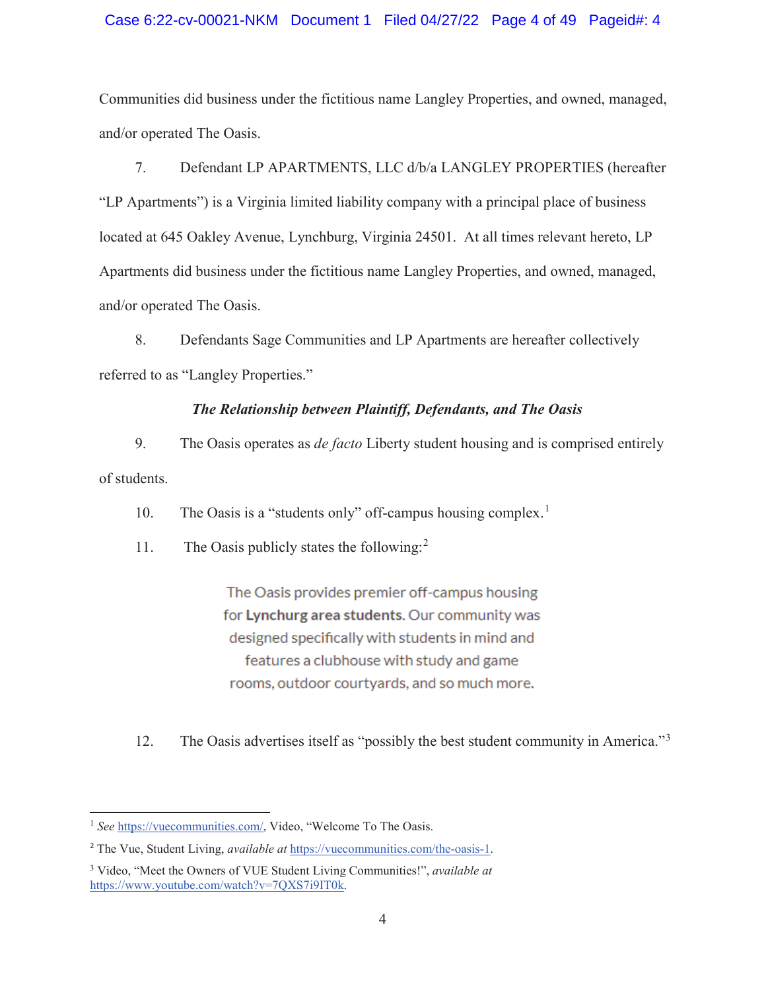## Case 6:22-cv-00021-NKM Document 1 Filed 04/27/22 Page 4 of 49 Pageid#: 4

Communities did business under the fictitious name Langley Properties, and owned, managed, and/or operated The Oasis.

7. Defendant LP APARTMENTS, LLC d/b/a LANGLEY PROPERTIES (hereafter "LP Apartments") is a Virginia limited liability company with a principal place of business located at 645 Oakley Avenue, Lynchburg, Virginia 24501. At all times relevant hereto, LP Apartments did business under the fictitious name Langley Properties, and owned, managed, and/or operated The Oasis.

8. Defendants Sage Communities and LP Apartments are hereafter collectively referred to as "Langley Properties."

# *The Relationship between Plaintiff, Defendants, and The Oasis*

9. The Oasis operates as *de facto* Liberty student housing and is comprised entirely of students.

10. The Oasis is a "students only" off-campus housing complex.<sup>1</sup>

11. The Oasis publicly states the following:<sup>2</sup>

The Oasis provides premier off-campus housing for Lynchurg area students. Our community was designed specifically with students in mind and features a clubhouse with study and game rooms, outdoor courtyards, and so much more.

12. The Oasis advertises itself as "possibly the best student community in America."<sup>3</sup>

<sup>1</sup> *See* https://vuecommunities.com/, Video, "Welcome To The Oasis.

<sup>2</sup> The Vue, Student Living, *available at* https://vuecommunities.com/the-oasis-1.

<sup>3</sup> Video, "Meet the Owners of VUE Student Living Communities!", *available at*  https://www.youtube.com/watch?v=7QXS7i9IT0k.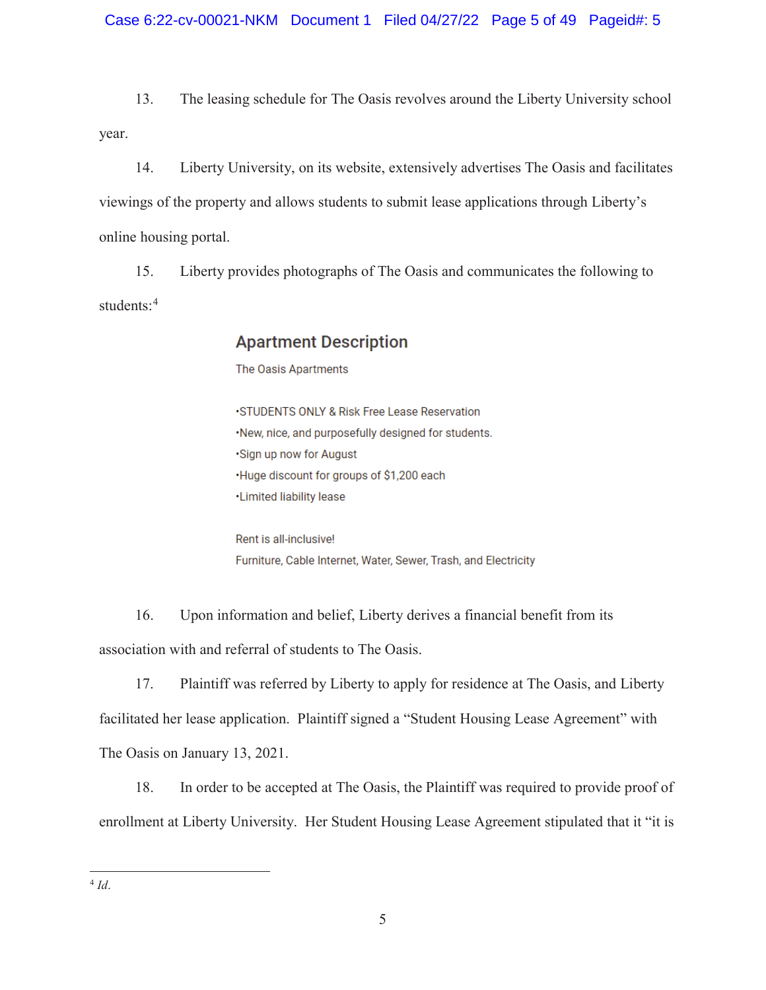13. The leasing schedule for The Oasis revolves around the Liberty University school year.

14. Liberty University, on its website, extensively advertises The Oasis and facilitates viewings of the property and allows students to submit lease applications through Liberty's online housing portal.

15. Liberty provides photographs of The Oasis and communicates the following to students:<sup>4</sup>

# **Apartment Description**

The Oasis Apartments

·STUDENTS ONLY & Risk Free Lease Reservation ·New, nice, and purposefully designed for students. ·Sign up now for August ·Huge discount for groups of \$1,200 each ·Limited liability lease

Rent is all-inclusive! Furniture, Cable Internet, Water, Sewer, Trash, and Electricity

16. Upon information and belief, Liberty derives a financial benefit from its association with and referral of students to The Oasis.

17. Plaintiff was referred by Liberty to apply for residence at The Oasis, and Liberty facilitated her lease application. Plaintiff signed a "Student Housing Lease Agreement" with The Oasis on January 13, 2021.

18. In order to be accepted at The Oasis, the Plaintiff was required to provide proof of enrollment at Liberty University. Her Student Housing Lease Agreement stipulated that it "it is

 $\overline{a}$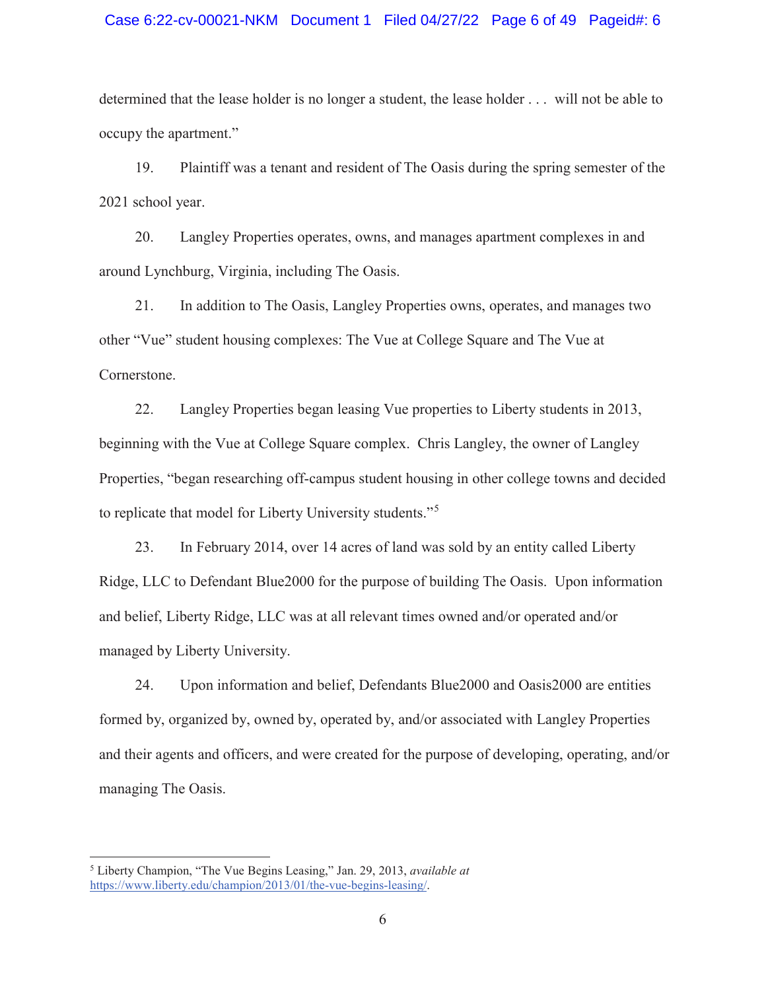#### Case 6:22-cv-00021-NKM Document 1 Filed 04/27/22 Page 6 of 49 Pageid#: 6

determined that the lease holder is no longer a student, the lease holder . . . will not be able to occupy the apartment."

19. Plaintiff was a tenant and resident of The Oasis during the spring semester of the 2021 school year.

20. Langley Properties operates, owns, and manages apartment complexes in and around Lynchburg, Virginia, including The Oasis.

21. In addition to The Oasis, Langley Properties owns, operates, and manages two other "Vue" student housing complexes: The Vue at College Square and The Vue at Cornerstone.

22. Langley Properties began leasing Vue properties to Liberty students in 2013, beginning with the Vue at College Square complex. Chris Langley, the owner of Langley Properties, "began researching off-campus student housing in other college towns and decided to replicate that model for Liberty University students."<sup>5</sup>

23. In February 2014, over 14 acres of land was sold by an entity called Liberty Ridge, LLC to Defendant Blue2000 for the purpose of building The Oasis. Upon information and belief, Liberty Ridge, LLC was at all relevant times owned and/or operated and/or managed by Liberty University.

24. Upon information and belief, Defendants Blue2000 and Oasis2000 are entities formed by, organized by, owned by, operated by, and/or associated with Langley Properties and their agents and officers, and were created for the purpose of developing, operating, and/or managing The Oasis.

 $\overline{a}$ 

<sup>5</sup> Liberty Champion, "The Vue Begins Leasing," Jan. 29, 2013, *available at*  https://www.liberty.edu/champion/2013/01/the-vue-begins-leasing/.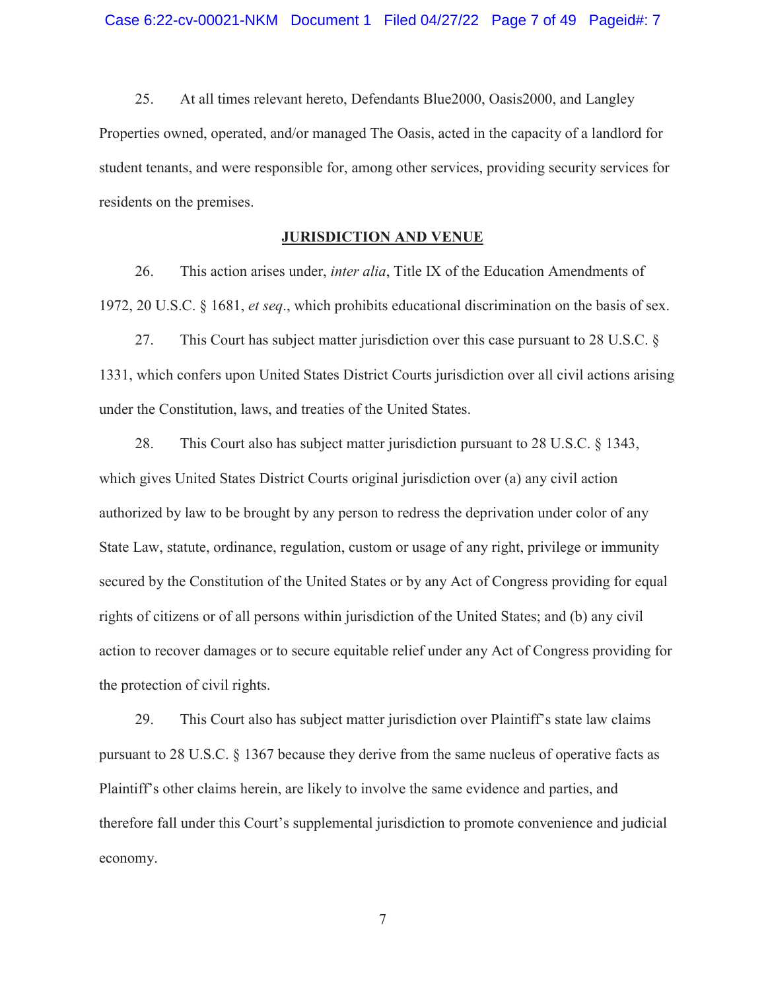25. At all times relevant hereto, Defendants Blue2000, Oasis2000, and Langley Properties owned, operated, and/or managed The Oasis, acted in the capacity of a landlord for student tenants, and were responsible for, among other services, providing security services for residents on the premises.

# **JURISDICTION AND VENUE**

26. This action arises under, *inter alia*, Title IX of the Education Amendments of 1972, 20 U.S.C. § 1681, *et seq*., which prohibits educational discrimination on the basis of sex.

27. This Court has subject matter jurisdiction over this case pursuant to 28 U.S.C. § 1331, which confers upon United States District Courts jurisdiction over all civil actions arising under the Constitution, laws, and treaties of the United States.

28. This Court also has subject matter jurisdiction pursuant to 28 U.S.C. § 1343, which gives United States District Courts original jurisdiction over (a) any civil action authorized by law to be brought by any person to redress the deprivation under color of any State Law, statute, ordinance, regulation, custom or usage of any right, privilege or immunity secured by the Constitution of the United States or by any Act of Congress providing for equal rights of citizens or of all persons within jurisdiction of the United States; and (b) any civil action to recover damages or to secure equitable relief under any Act of Congress providing for the protection of civil rights.

29. This Court also has subject matter jurisdiction over Plaintiff's state law claims pursuant to 28 U.S.C. § 1367 because they derive from the same nucleus of operative facts as Plaintiff's other claims herein, are likely to involve the same evidence and parties, and therefore fall under this Court's supplemental jurisdiction to promote convenience and judicial economy.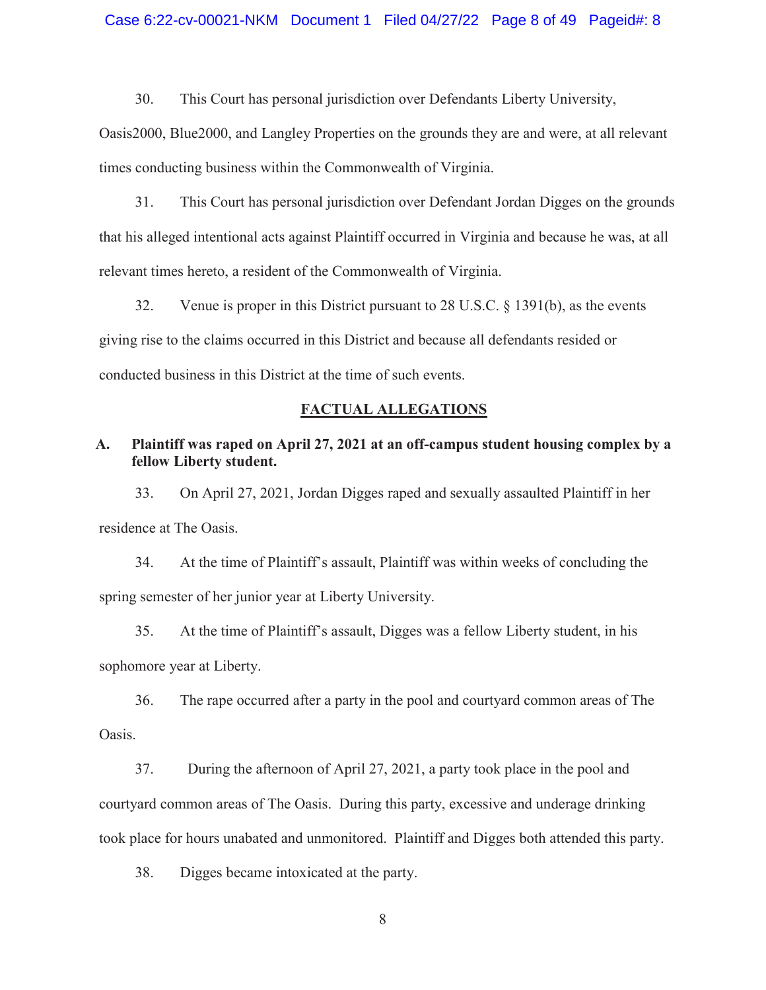#### Case 6:22-cv-00021-NKM Document 1 Filed 04/27/22 Page 8 of 49 Pageid#: 8

30. This Court has personal jurisdiction over Defendants Liberty University,

Oasis2000, Blue2000, and Langley Properties on the grounds they are and were, at all relevant times conducting business within the Commonwealth of Virginia.

31. This Court has personal jurisdiction over Defendant Jordan Digges on the grounds that his alleged intentional acts against Plaintiff occurred in Virginia and because he was, at all relevant times hereto, a resident of the Commonwealth of Virginia.

32. Venue is proper in this District pursuant to 28 U.S.C. § 1391(b), as the events giving rise to the claims occurred in this District and because all defendants resided or conducted business in this District at the time of such events.

#### **FACTUAL ALLEGATIONS**

# **A. Plaintiff was raped on April 27, 2021 at an off-campus student housing complex by a fellow Liberty student.**

33. On April 27, 2021, Jordan Digges raped and sexually assaulted Plaintiff in her residence at The Oasis.

34. At the time of Plaintiff's assault, Plaintiff was within weeks of concluding the spring semester of her junior year at Liberty University.

35. At the time of Plaintiff's assault, Digges was a fellow Liberty student, in his sophomore year at Liberty.

36. The rape occurred after a party in the pool and courtyard common areas of The Oasis.

37. During the afternoon of April 27, 2021, a party took place in the pool and courtyard common areas of The Oasis. During this party, excessive and underage drinking took place for hours unabated and unmonitored. Plaintiff and Digges both attended this party.

38. Digges became intoxicated at the party.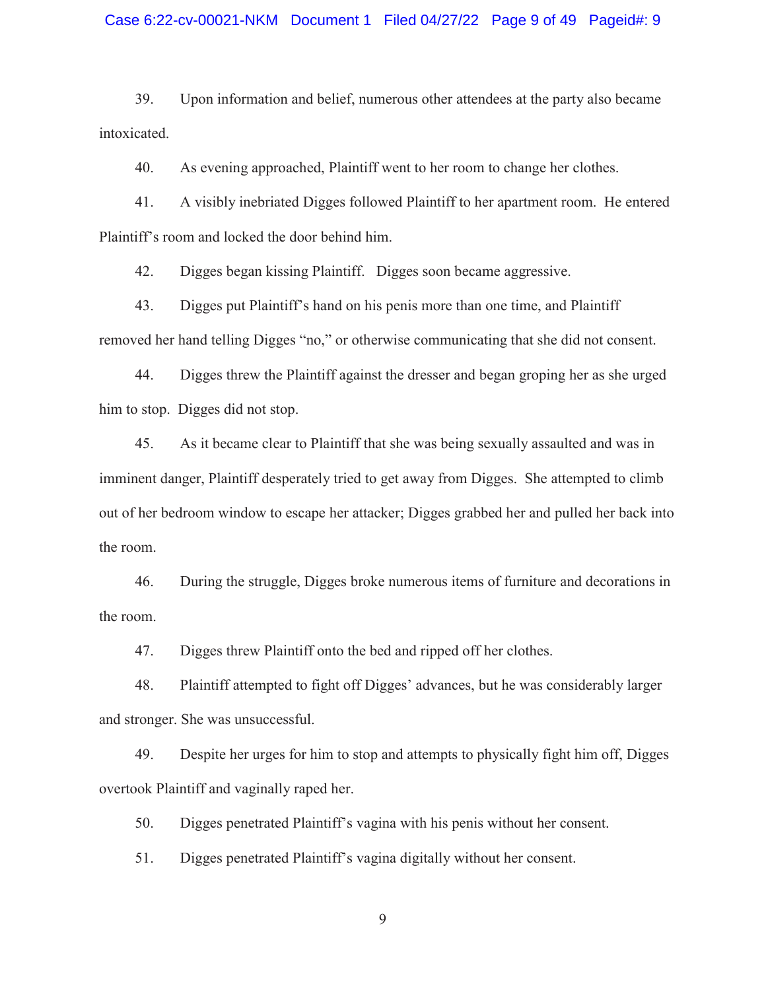#### Case 6:22-cv-00021-NKM Document 1 Filed 04/27/22 Page 9 of 49 Pageid#: 9

39. Upon information and belief, numerous other attendees at the party also became intoxicated.

40. As evening approached, Plaintiff went to her room to change her clothes.

41. A visibly inebriated Digges followed Plaintiff to her apartment room. He entered Plaintiff's room and locked the door behind him.

42. Digges began kissing Plaintiff. Digges soon became aggressive.

43. Digges put Plaintiff's hand on his penis more than one time, and Plaintiff removed her hand telling Digges "no," or otherwise communicating that she did not consent.

44. Digges threw the Plaintiff against the dresser and began groping her as she urged him to stop. Digges did not stop.

45. As it became clear to Plaintiff that she was being sexually assaulted and was in imminent danger, Plaintiff desperately tried to get away from Digges. She attempted to climb out of her bedroom window to escape her attacker; Digges grabbed her and pulled her back into the room.

46. During the struggle, Digges broke numerous items of furniture and decorations in the room.

47. Digges threw Plaintiff onto the bed and ripped off her clothes.

48. Plaintiff attempted to fight off Digges' advances, but he was considerably larger and stronger. She was unsuccessful.

49. Despite her urges for him to stop and attempts to physically fight him off, Digges overtook Plaintiff and vaginally raped her.

50. Digges penetrated Plaintiff's vagina with his penis without her consent.

51. Digges penetrated Plaintiff's vagina digitally without her consent.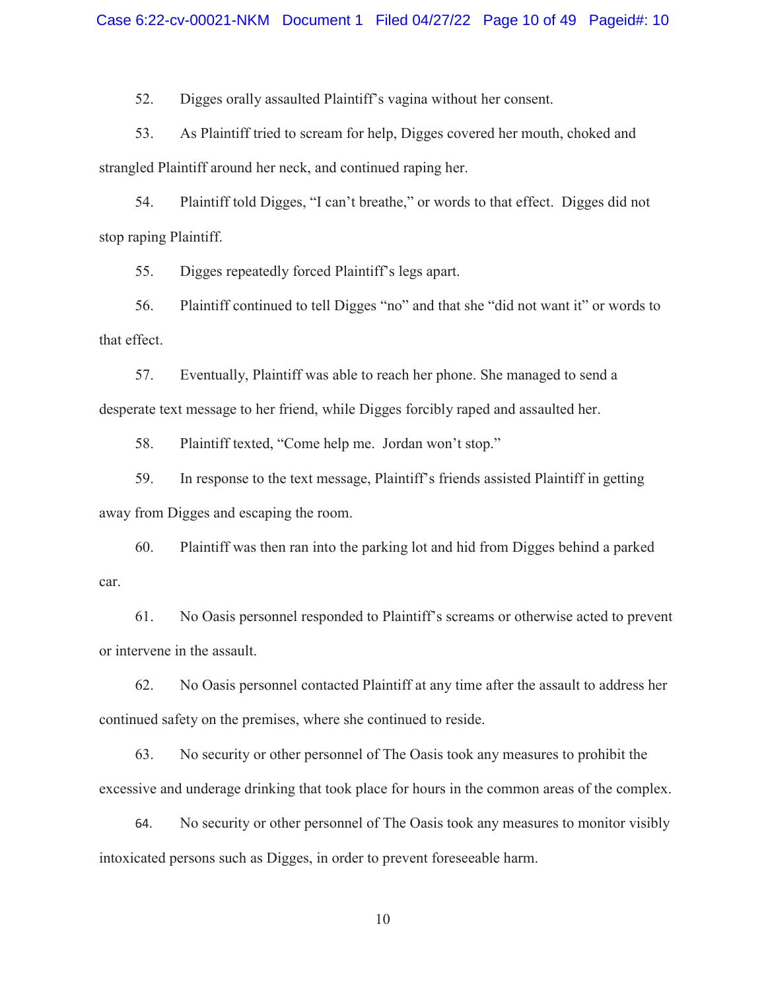52. Digges orally assaulted Plaintiff's vagina without her consent.

53. As Plaintiff tried to scream for help, Digges covered her mouth, choked and strangled Plaintiff around her neck, and continued raping her.

54. Plaintiff told Digges, "I can't breathe," or words to that effect. Digges did not stop raping Plaintiff.

55. Digges repeatedly forced Plaintiff's legs apart.

56. Plaintiff continued to tell Digges "no" and that she "did not want it" or words to that effect.

57. Eventually, Plaintiff was able to reach her phone. She managed to send a desperate text message to her friend, while Digges forcibly raped and assaulted her.

58. Plaintiff texted, "Come help me. Jordan won't stop."

59. In response to the text message, Plaintiff's friends assisted Plaintiff in getting away from Digges and escaping the room.

60. Plaintiff was then ran into the parking lot and hid from Digges behind a parked car.

61. No Oasis personnel responded to Plaintiff's screams or otherwise acted to prevent or intervene in the assault.

62. No Oasis personnel contacted Plaintiff at any time after the assault to address her continued safety on the premises, where she continued to reside.

63. No security or other personnel of The Oasis took any measures to prohibit the excessive and underage drinking that took place for hours in the common areas of the complex.

64. No security or other personnel of The Oasis took any measures to monitor visibly intoxicated persons such as Digges, in order to prevent foreseeable harm.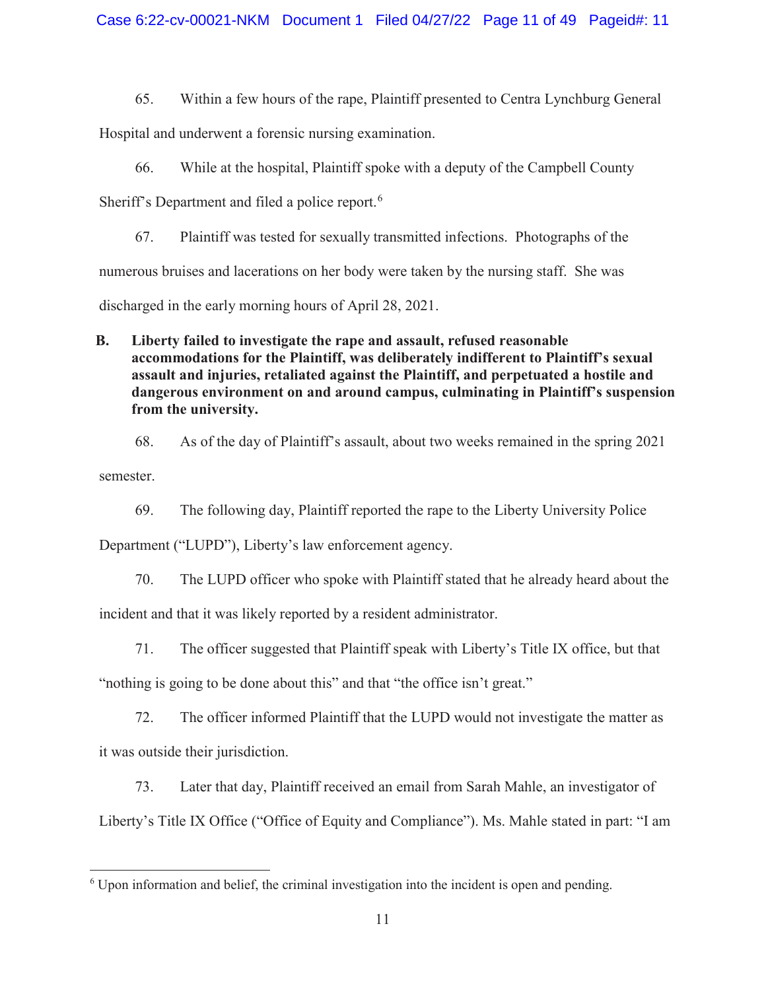65. Within a few hours of the rape, Plaintiff presented to Centra Lynchburg General

Hospital and underwent a forensic nursing examination.

66. While at the hospital, Plaintiff spoke with a deputy of the Campbell County

Sheriff's Department and filed a police report.<sup>6</sup>

67. Plaintiff was tested for sexually transmitted infections. Photographs of the numerous bruises and lacerations on her body were taken by the nursing staff. She was discharged in the early morning hours of April 28, 2021.

**B. Liberty failed to investigate the rape and assault, refused reasonable accommodations for the Plaintiff, was deliberately indifferent to Plaintiff's sexual assault and injuries, retaliated against the Plaintiff, and perpetuated a hostile and dangerous environment on and around campus, culminating in Plaintiff's suspension from the university.** 

68. As of the day of Plaintiff's assault, about two weeks remained in the spring 2021

semester.

69. The following day, Plaintiff reported the rape to the Liberty University Police

Department ("LUPD"), Liberty's law enforcement agency.

70. The LUPD officer who spoke with Plaintiff stated that he already heard about the

incident and that it was likely reported by a resident administrator.

71. The officer suggested that Plaintiff speak with Liberty's Title IX office, but that

"nothing is going to be done about this" and that "the office isn't great."

72. The officer informed Plaintiff that the LUPD would not investigate the matter as it was outside their jurisdiction.

73. Later that day, Plaintiff received an email from Sarah Mahle, an investigator of

Liberty's Title IX Office ("Office of Equity and Compliance"). Ms. Mahle stated in part: "I am

 $\overline{a}$ <sup>6</sup> Upon information and belief, the criminal investigation into the incident is open and pending.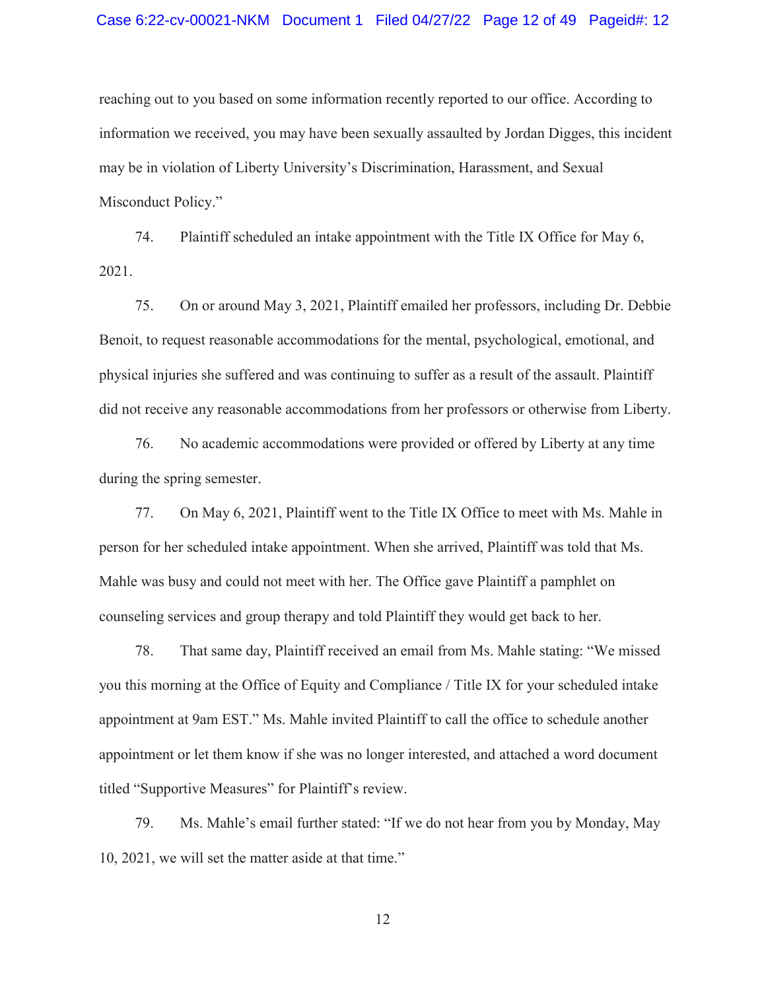#### Case 6:22-cv-00021-NKM Document 1 Filed 04/27/22 Page 12 of 49 Pageid#: 12

reaching out to you based on some information recently reported to our office. According to information we received, you may have been sexually assaulted by Jordan Digges, this incident may be in violation of Liberty University's Discrimination, Harassment, and Sexual Misconduct Policy."

74. Plaintiff scheduled an intake appointment with the Title IX Office for May 6, 2021.

75. On or around May 3, 2021, Plaintiff emailed her professors, including Dr. Debbie Benoit, to request reasonable accommodations for the mental, psychological, emotional, and physical injuries she suffered and was continuing to suffer as a result of the assault. Plaintiff did not receive any reasonable accommodations from her professors or otherwise from Liberty.

76. No academic accommodations were provided or offered by Liberty at any time during the spring semester.

77. On May 6, 2021, Plaintiff went to the Title IX Office to meet with Ms. Mahle in person for her scheduled intake appointment. When she arrived, Plaintiff was told that Ms. Mahle was busy and could not meet with her. The Office gave Plaintiff a pamphlet on counseling services and group therapy and told Plaintiff they would get back to her.

78. That same day, Plaintiff received an email from Ms. Mahle stating: "We missed you this morning at the Office of Equity and Compliance / Title IX for your scheduled intake appointment at 9am EST." Ms. Mahle invited Plaintiff to call the office to schedule another appointment or let them know if she was no longer interested, and attached a word document titled "Supportive Measures" for Plaintiff's review.

79. Ms. Mahle's email further stated: "If we do not hear from you by Monday, May 10, 2021, we will set the matter aside at that time."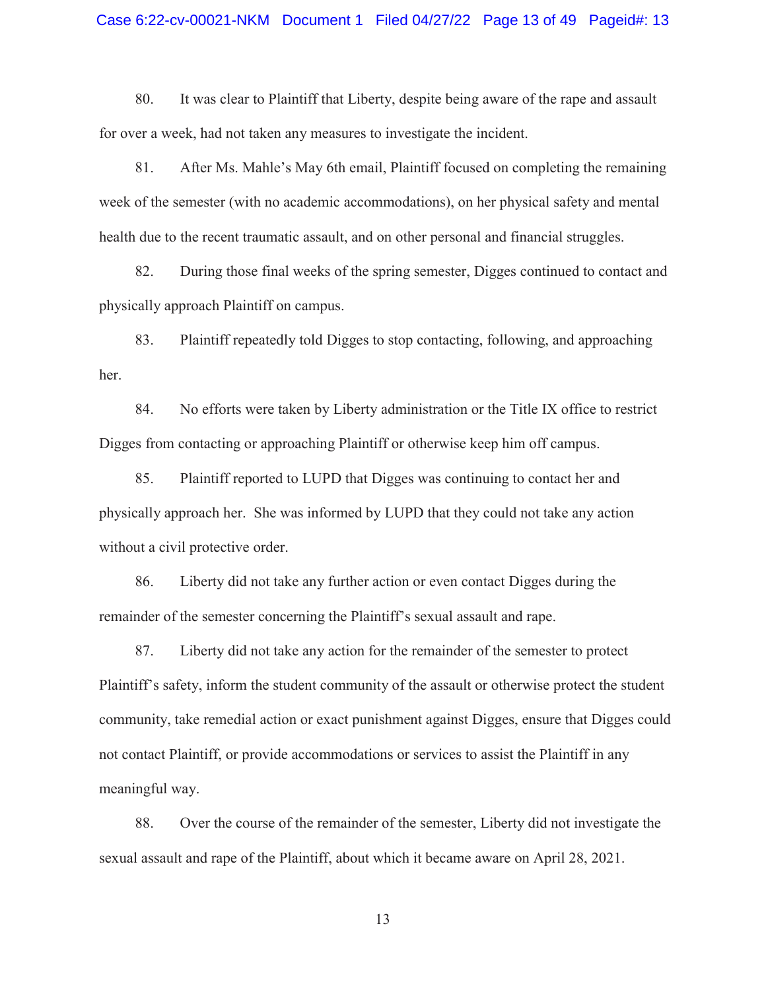#### Case 6:22-cv-00021-NKM Document 1 Filed 04/27/22 Page 13 of 49 Pageid#: 13

80. It was clear to Plaintiff that Liberty, despite being aware of the rape and assault for over a week, had not taken any measures to investigate the incident.

81. After Ms. Mahle's May 6th email, Plaintiff focused on completing the remaining week of the semester (with no academic accommodations), on her physical safety and mental health due to the recent traumatic assault, and on other personal and financial struggles.

82. During those final weeks of the spring semester, Digges continued to contact and physically approach Plaintiff on campus.

83. Plaintiff repeatedly told Digges to stop contacting, following, and approaching her.

84. No efforts were taken by Liberty administration or the Title IX office to restrict Digges from contacting or approaching Plaintiff or otherwise keep him off campus.

85. Plaintiff reported to LUPD that Digges was continuing to contact her and physically approach her. She was informed by LUPD that they could not take any action without a civil protective order.

86. Liberty did not take any further action or even contact Digges during the remainder of the semester concerning the Plaintiff's sexual assault and rape.

87. Liberty did not take any action for the remainder of the semester to protect Plaintiff's safety, inform the student community of the assault or otherwise protect the student community, take remedial action or exact punishment against Digges, ensure that Digges could not contact Plaintiff, or provide accommodations or services to assist the Plaintiff in any meaningful way.

88. Over the course of the remainder of the semester, Liberty did not investigate the sexual assault and rape of the Plaintiff, about which it became aware on April 28, 2021.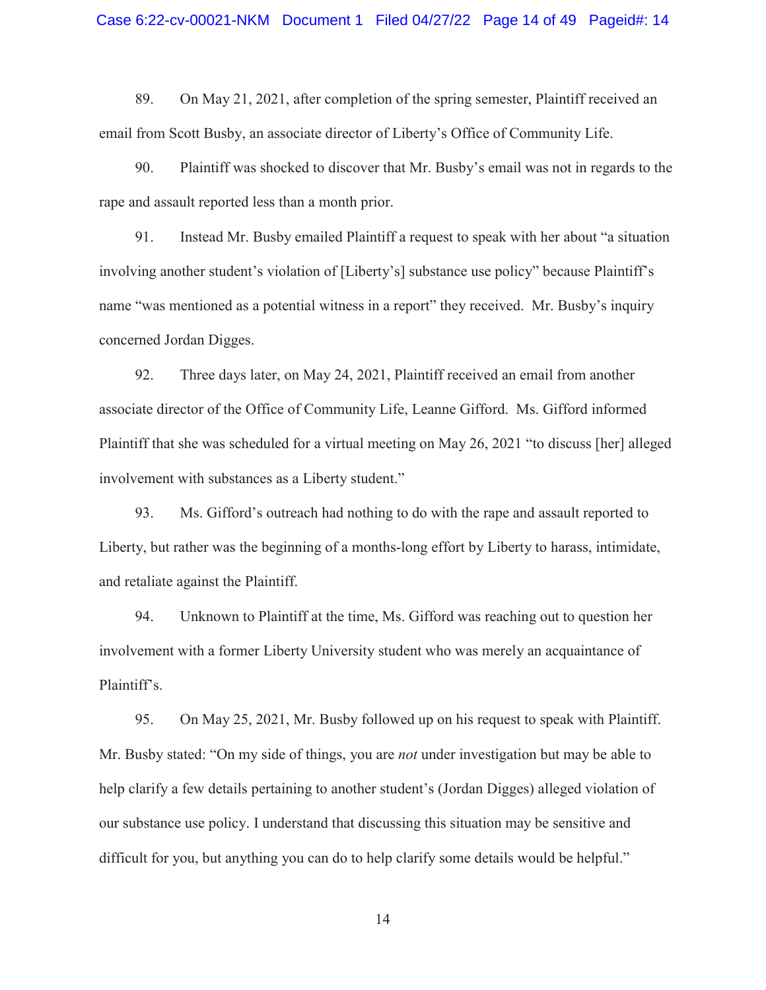89. On May 21, 2021, after completion of the spring semester, Plaintiff received an email from Scott Busby, an associate director of Liberty's Office of Community Life.

90. Plaintiff was shocked to discover that Mr. Busby's email was not in regards to the rape and assault reported less than a month prior.

91. Instead Mr. Busby emailed Plaintiff a request to speak with her about "a situation involving another student's violation of [Liberty's] substance use policy" because Plaintiff's name "was mentioned as a potential witness in a report" they received. Mr. Busby's inquiry concerned Jordan Digges.

92. Three days later, on May 24, 2021, Plaintiff received an email from another associate director of the Office of Community Life, Leanne Gifford. Ms. Gifford informed Plaintiff that she was scheduled for a virtual meeting on May 26, 2021 "to discuss [her] alleged involvement with substances as a Liberty student."

93. Ms. Gifford's outreach had nothing to do with the rape and assault reported to Liberty, but rather was the beginning of a months-long effort by Liberty to harass, intimidate, and retaliate against the Plaintiff.

94. Unknown to Plaintiff at the time, Ms. Gifford was reaching out to question her involvement with a former Liberty University student who was merely an acquaintance of Plaintiff's.

95. On May 25, 2021, Mr. Busby followed up on his request to speak with Plaintiff. Mr. Busby stated: "On my side of things, you are *not* under investigation but may be able to help clarify a few details pertaining to another student's (Jordan Digges) alleged violation of our substance use policy. I understand that discussing this situation may be sensitive and difficult for you, but anything you can do to help clarify some details would be helpful."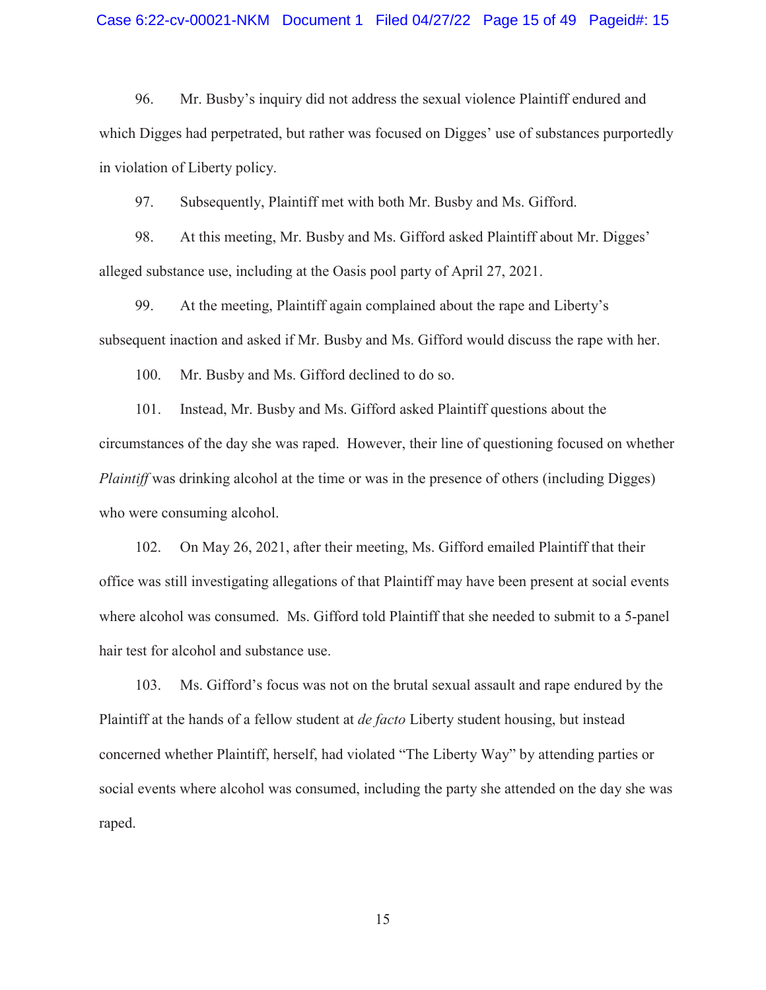96. Mr. Busby's inquiry did not address the sexual violence Plaintiff endured and which Digges had perpetrated, but rather was focused on Digges' use of substances purportedly in violation of Liberty policy.

97. Subsequently, Plaintiff met with both Mr. Busby and Ms. Gifford.

98. At this meeting, Mr. Busby and Ms. Gifford asked Plaintiff about Mr. Digges' alleged substance use, including at the Oasis pool party of April 27, 2021.

99. At the meeting, Plaintiff again complained about the rape and Liberty's subsequent inaction and asked if Mr. Busby and Ms. Gifford would discuss the rape with her.

100. Mr. Busby and Ms. Gifford declined to do so.

101. Instead, Mr. Busby and Ms. Gifford asked Plaintiff questions about the circumstances of the day she was raped. However, their line of questioning focused on whether *Plaintiff* was drinking alcohol at the time or was in the presence of others (including Digges) who were consuming alcohol.

102. On May 26, 2021, after their meeting, Ms. Gifford emailed Plaintiff that their office was still investigating allegations of that Plaintiff may have been present at social events where alcohol was consumed. Ms. Gifford told Plaintiff that she needed to submit to a 5-panel hair test for alcohol and substance use.

103. Ms. Gifford's focus was not on the brutal sexual assault and rape endured by the Plaintiff at the hands of a fellow student at *de facto* Liberty student housing, but instead concerned whether Plaintiff, herself, had violated "The Liberty Way" by attending parties or social events where alcohol was consumed, including the party she attended on the day she was raped.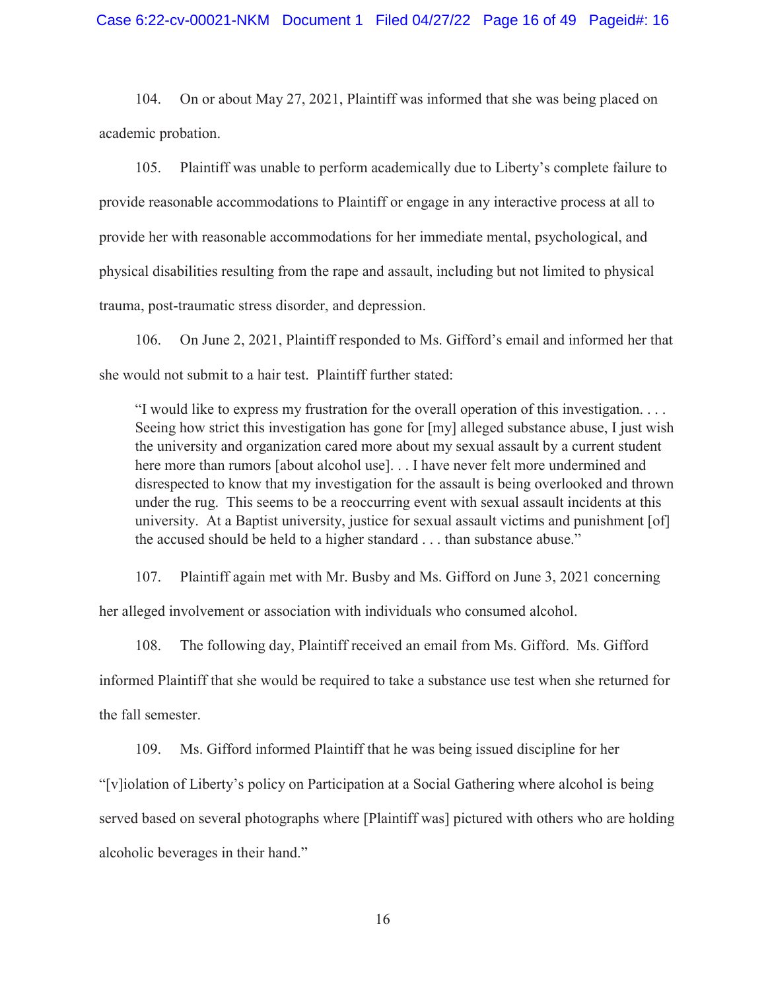#### Case 6:22-cv-00021-NKM Document 1 Filed 04/27/22 Page 16 of 49 Pageid#: 16

104. On or about May 27, 2021, Plaintiff was informed that she was being placed on academic probation.

105. Plaintiff was unable to perform academically due to Liberty's complete failure to provide reasonable accommodations to Plaintiff or engage in any interactive process at all to provide her with reasonable accommodations for her immediate mental, psychological, and physical disabilities resulting from the rape and assault, including but not limited to physical trauma, post-traumatic stress disorder, and depression.

106. On June 2, 2021, Plaintiff responded to Ms. Gifford's email and informed her that she would not submit to a hair test. Plaintiff further stated:

"I would like to express my frustration for the overall operation of this investigation. . . . Seeing how strict this investigation has gone for [my] alleged substance abuse, I just wish the university and organization cared more about my sexual assault by a current student here more than rumors [about alcohol use]... I have never felt more undermined and disrespected to know that my investigation for the assault is being overlooked and thrown under the rug. This seems to be a reoccurring event with sexual assault incidents at this university. At a Baptist university, justice for sexual assault victims and punishment [of] the accused should be held to a higher standard . . . than substance abuse."

107. Plaintiff again met with Mr. Busby and Ms. Gifford on June 3, 2021 concerning

her alleged involvement or association with individuals who consumed alcohol.

108. The following day, Plaintiff received an email from Ms. Gifford. Ms. Gifford informed Plaintiff that she would be required to take a substance use test when she returned for the fall semester.

109. Ms. Gifford informed Plaintiff that he was being issued discipline for her "[v]iolation of Liberty's policy on Participation at a Social Gathering where alcohol is being served based on several photographs where [Plaintiff was] pictured with others who are holding alcoholic beverages in their hand."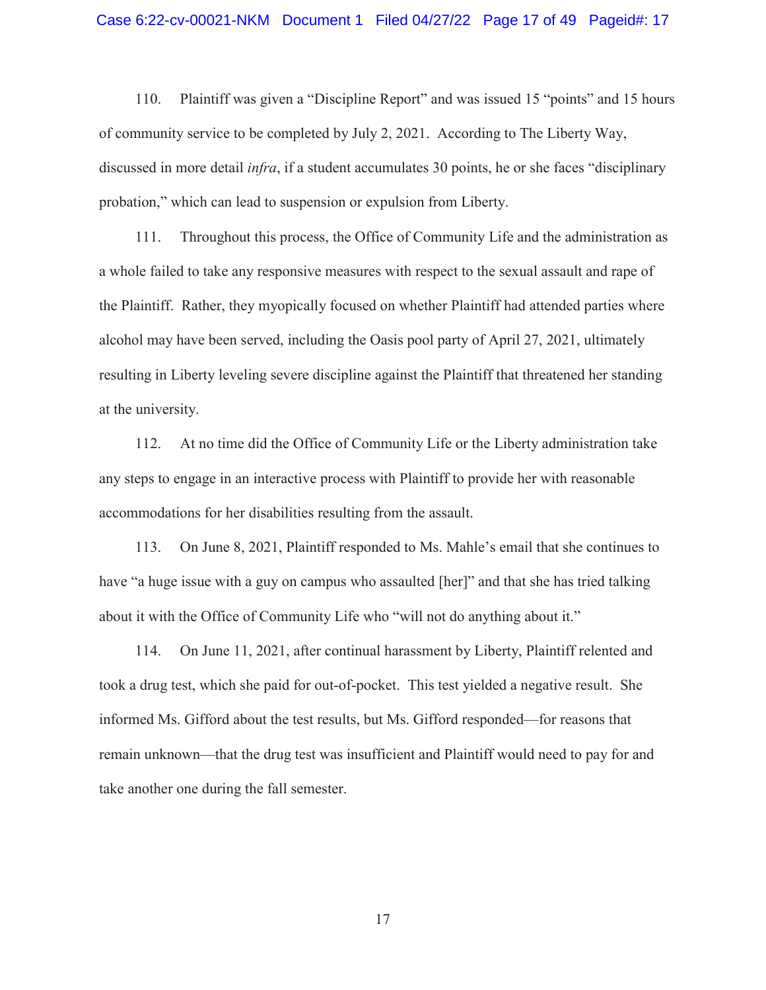#### Case 6:22-cv-00021-NKM Document 1 Filed 04/27/22 Page 17 of 49 Pageid#: 17

110. Plaintiff was given a "Discipline Report" and was issued 15 "points" and 15 hours of community service to be completed by July 2, 2021. According to The Liberty Way, discussed in more detail *infra*, if a student accumulates 30 points, he or she faces "disciplinary probation," which can lead to suspension or expulsion from Liberty.

111. Throughout this process, the Office of Community Life and the administration as a whole failed to take any responsive measures with respect to the sexual assault and rape of the Plaintiff. Rather, they myopically focused on whether Plaintiff had attended parties where alcohol may have been served, including the Oasis pool party of April 27, 2021, ultimately resulting in Liberty leveling severe discipline against the Plaintiff that threatened her standing at the university.

112. At no time did the Office of Community Life or the Liberty administration take any steps to engage in an interactive process with Plaintiff to provide her with reasonable accommodations for her disabilities resulting from the assault.

113. On June 8, 2021, Plaintiff responded to Ms. Mahle's email that she continues to have "a huge issue with a guy on campus who assaulted [her]" and that she has tried talking about it with the Office of Community Life who "will not do anything about it."

114. On June 11, 2021, after continual harassment by Liberty, Plaintiff relented and took a drug test, which she paid for out-of-pocket. This test yielded a negative result. She informed Ms. Gifford about the test results, but Ms. Gifford responded—for reasons that remain unknown—that the drug test was insufficient and Plaintiff would need to pay for and take another one during the fall semester.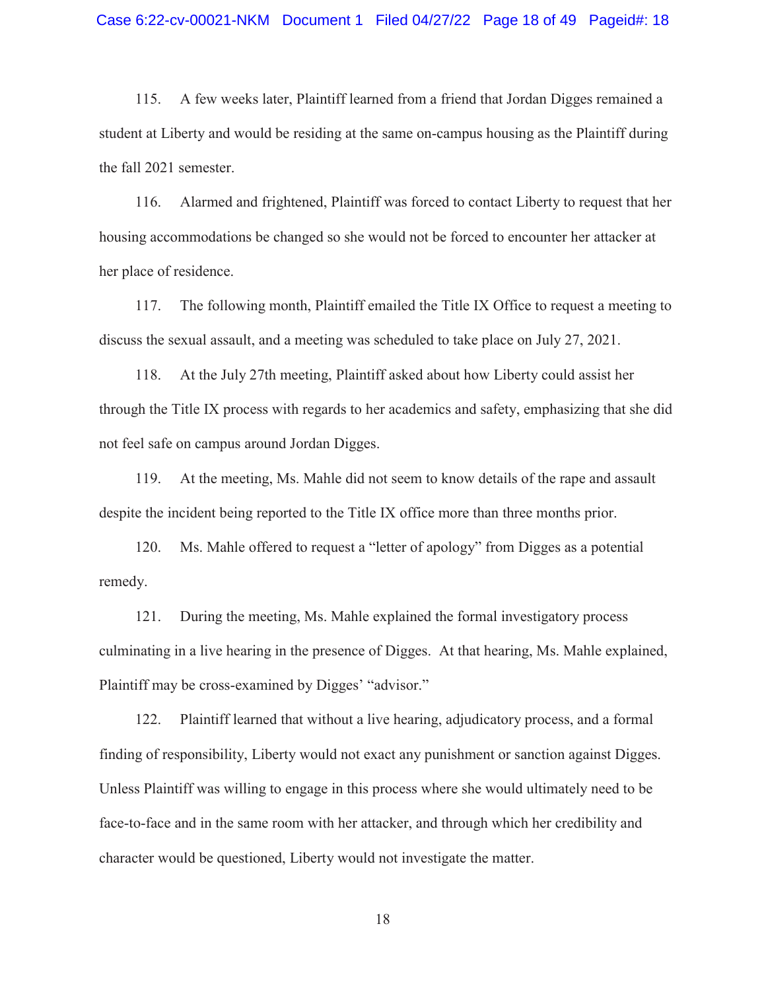115. A few weeks later, Plaintiff learned from a friend that Jordan Digges remained a student at Liberty and would be residing at the same on-campus housing as the Plaintiff during the fall 2021 semester.

116. Alarmed and frightened, Plaintiff was forced to contact Liberty to request that her housing accommodations be changed so she would not be forced to encounter her attacker at her place of residence.

117. The following month, Plaintiff emailed the Title IX Office to request a meeting to discuss the sexual assault, and a meeting was scheduled to take place on July 27, 2021.

118. At the July 27th meeting, Plaintiff asked about how Liberty could assist her through the Title IX process with regards to her academics and safety, emphasizing that she did not feel safe on campus around Jordan Digges.

119. At the meeting, Ms. Mahle did not seem to know details of the rape and assault despite the incident being reported to the Title IX office more than three months prior.

120. Ms. Mahle offered to request a "letter of apology" from Digges as a potential remedy.

121. During the meeting, Ms. Mahle explained the formal investigatory process culminating in a live hearing in the presence of Digges. At that hearing, Ms. Mahle explained, Plaintiff may be cross-examined by Digges' "advisor."

122. Plaintiff learned that without a live hearing, adjudicatory process, and a formal finding of responsibility, Liberty would not exact any punishment or sanction against Digges. Unless Plaintiff was willing to engage in this process where she would ultimately need to be face-to-face and in the same room with her attacker, and through which her credibility and character would be questioned, Liberty would not investigate the matter.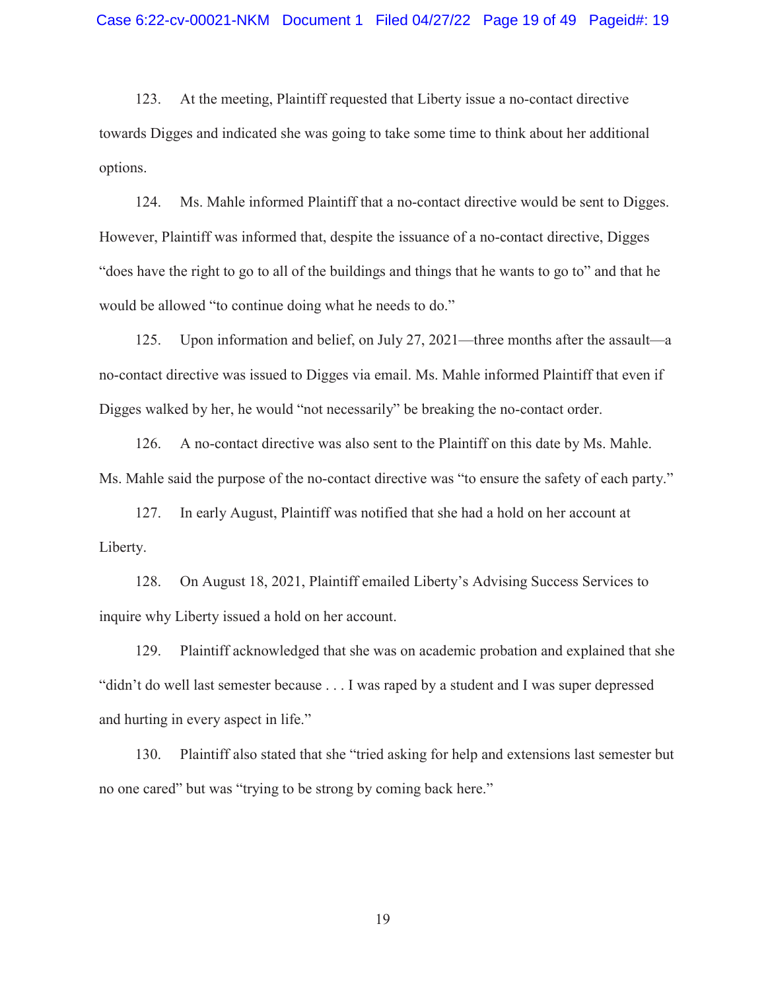123. At the meeting, Plaintiff requested that Liberty issue a no-contact directive towards Digges and indicated she was going to take some time to think about her additional options.

124. Ms. Mahle informed Plaintiff that a no-contact directive would be sent to Digges. However, Plaintiff was informed that, despite the issuance of a no-contact directive, Digges "does have the right to go to all of the buildings and things that he wants to go to" and that he would be allowed "to continue doing what he needs to do."

125. Upon information and belief, on July 27, 2021—three months after the assault—a no-contact directive was issued to Digges via email. Ms. Mahle informed Plaintiff that even if Digges walked by her, he would "not necessarily" be breaking the no-contact order.

126. A no-contact directive was also sent to the Plaintiff on this date by Ms. Mahle. Ms. Mahle said the purpose of the no-contact directive was "to ensure the safety of each party."

127. In early August, Plaintiff was notified that she had a hold on her account at Liberty.

128. On August 18, 2021, Plaintiff emailed Liberty's Advising Success Services to inquire why Liberty issued a hold on her account.

129. Plaintiff acknowledged that she was on academic probation and explained that she "didn't do well last semester because . . . I was raped by a student and I was super depressed and hurting in every aspect in life."

130. Plaintiff also stated that she "tried asking for help and extensions last semester but no one cared" but was "trying to be strong by coming back here."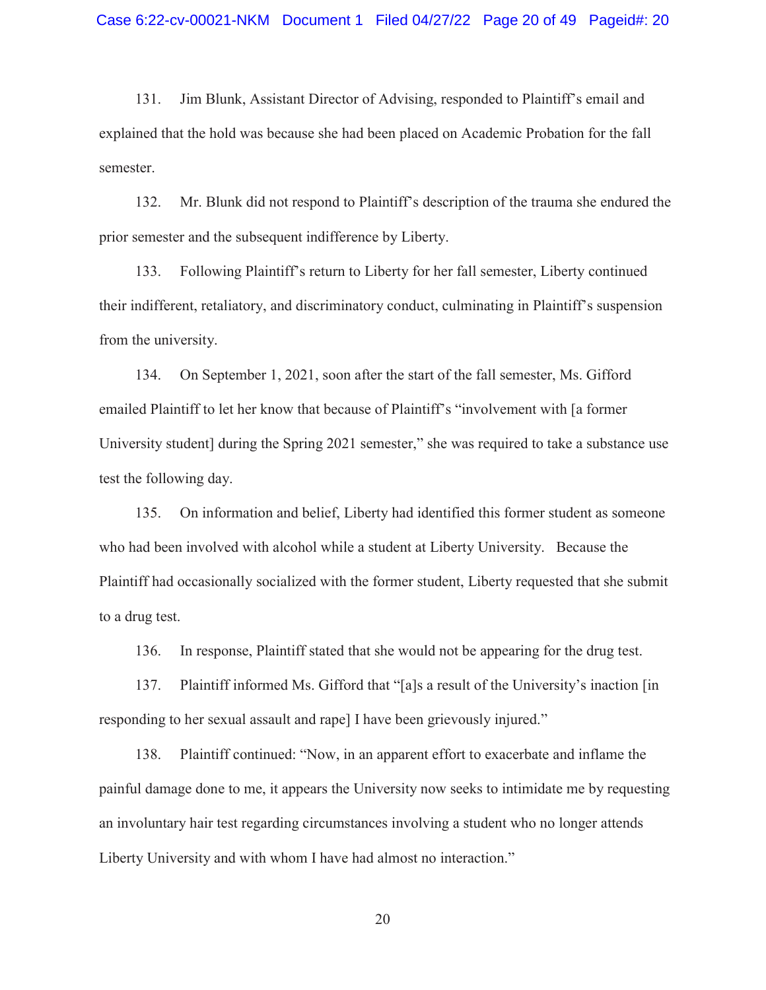131. Jim Blunk, Assistant Director of Advising, responded to Plaintiff's email and explained that the hold was because she had been placed on Academic Probation for the fall semester.

132. Mr. Blunk did not respond to Plaintiff's description of the trauma she endured the prior semester and the subsequent indifference by Liberty.

133. Following Plaintiff's return to Liberty for her fall semester, Liberty continued their indifferent, retaliatory, and discriminatory conduct, culminating in Plaintiff's suspension from the university.

134. On September 1, 2021, soon after the start of the fall semester, Ms. Gifford emailed Plaintiff to let her know that because of Plaintiff's "involvement with [a former University student] during the Spring 2021 semester," she was required to take a substance use test the following day.

135. On information and belief, Liberty had identified this former student as someone who had been involved with alcohol while a student at Liberty University. Because the Plaintiff had occasionally socialized with the former student, Liberty requested that she submit to a drug test.

136. In response, Plaintiff stated that she would not be appearing for the drug test.

137. Plaintiff informed Ms. Gifford that "[a]s a result of the University's inaction [in responding to her sexual assault and rape] I have been grievously injured."

138. Plaintiff continued: "Now, in an apparent effort to exacerbate and inflame the painful damage done to me, it appears the University now seeks to intimidate me by requesting an involuntary hair test regarding circumstances involving a student who no longer attends Liberty University and with whom I have had almost no interaction."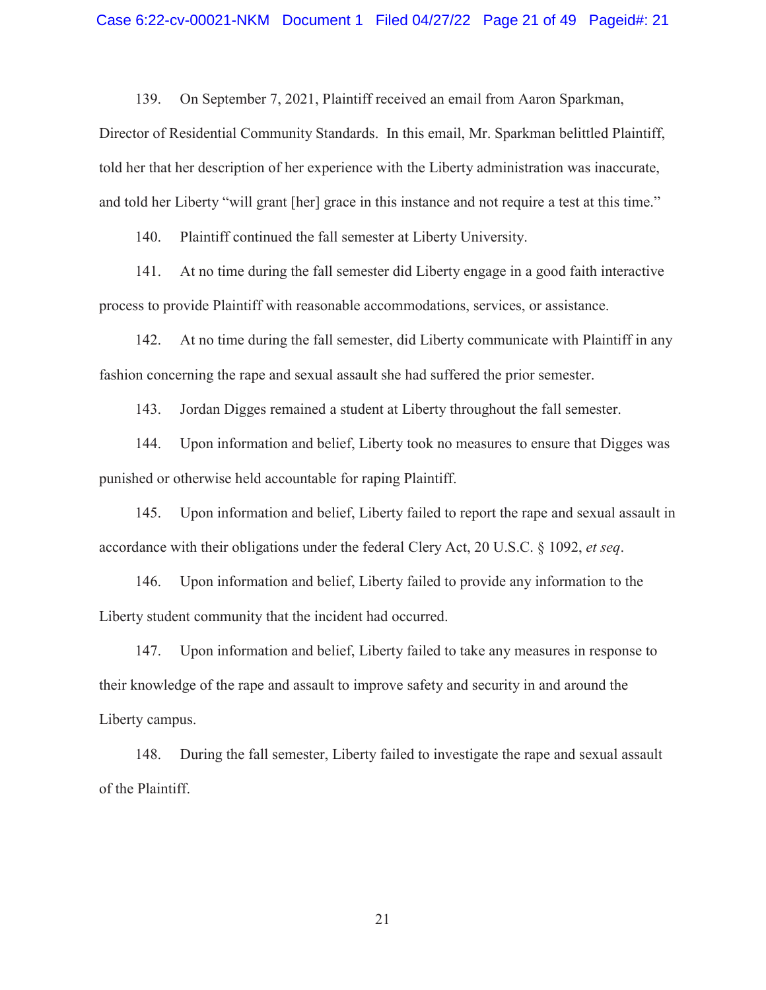139. On September 7, 2021, Plaintiff received an email from Aaron Sparkman,

Director of Residential Community Standards. In this email, Mr. Sparkman belittled Plaintiff, told her that her description of her experience with the Liberty administration was inaccurate, and told her Liberty "will grant [her] grace in this instance and not require a test at this time."

140. Plaintiff continued the fall semester at Liberty University.

141. At no time during the fall semester did Liberty engage in a good faith interactive process to provide Plaintiff with reasonable accommodations, services, or assistance.

142. At no time during the fall semester, did Liberty communicate with Plaintiff in any fashion concerning the rape and sexual assault she had suffered the prior semester.

143. Jordan Digges remained a student at Liberty throughout the fall semester.

144. Upon information and belief, Liberty took no measures to ensure that Digges was punished or otherwise held accountable for raping Plaintiff.

145. Upon information and belief, Liberty failed to report the rape and sexual assault in accordance with their obligations under the federal Clery Act, 20 U.S.C. § 1092, *et seq*.

146. Upon information and belief, Liberty failed to provide any information to the Liberty student community that the incident had occurred.

147. Upon information and belief, Liberty failed to take any measures in response to their knowledge of the rape and assault to improve safety and security in and around the Liberty campus.

148. During the fall semester, Liberty failed to investigate the rape and sexual assault of the Plaintiff.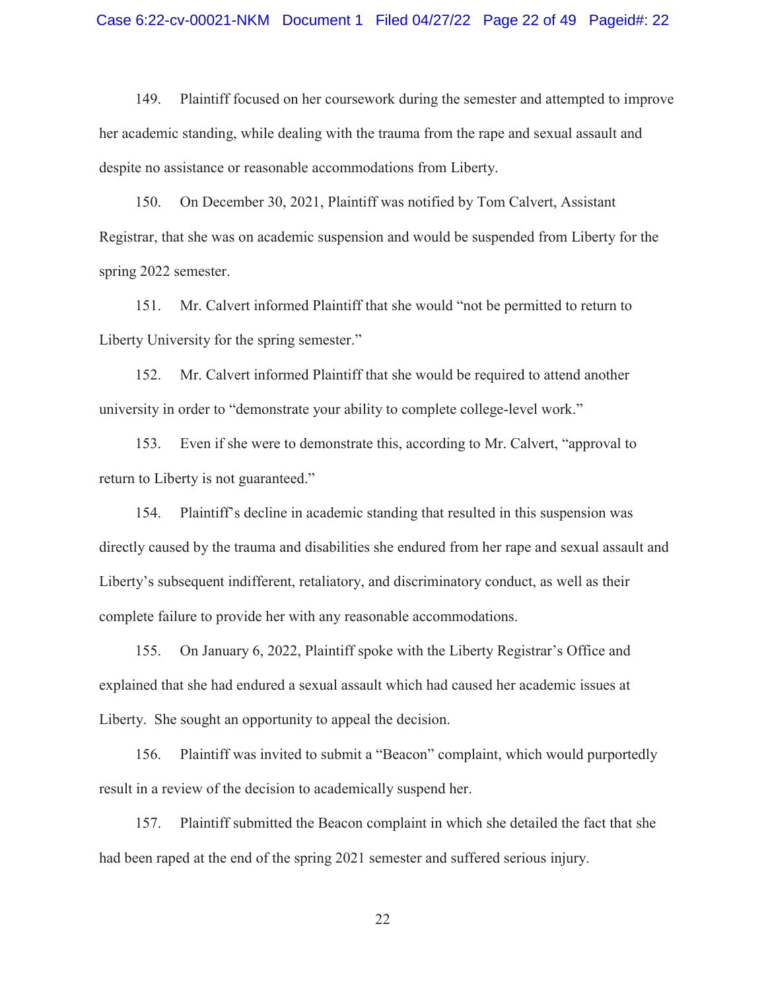#### Case 6:22-cv-00021-NKM Document 1 Filed 04/27/22 Page 22 of 49 Pageid#: 22

149. Plaintiff focused on her coursework during the semester and attempted to improve her academic standing, while dealing with the trauma from the rape and sexual assault and despite no assistance or reasonable accommodations from Liberty.

150. On December 30, 2021, Plaintiff was notified by Tom Calvert, Assistant Registrar, that she was on academic suspension and would be suspended from Liberty for the spring 2022 semester.

151. Mr. Calvert informed Plaintiff that she would "not be permitted to return to Liberty University for the spring semester."

152. Mr. Calvert informed Plaintiff that she would be required to attend another university in order to "demonstrate your ability to complete college-level work."

153. Even if she were to demonstrate this, according to Mr. Calvert, "approval to return to Liberty is not guaranteed."

154. Plaintiff's decline in academic standing that resulted in this suspension was directly caused by the trauma and disabilities she endured from her rape and sexual assault and Liberty's subsequent indifferent, retaliatory, and discriminatory conduct, as well as their complete failure to provide her with any reasonable accommodations.

155. On January 6, 2022, Plaintiff spoke with the Liberty Registrar's Office and explained that she had endured a sexual assault which had caused her academic issues at Liberty. She sought an opportunity to appeal the decision.

156. Plaintiff was invited to submit a "Beacon" complaint, which would purportedly result in a review of the decision to academically suspend her.

157. Plaintiff submitted the Beacon complaint in which she detailed the fact that she had been raped at the end of the spring 2021 semester and suffered serious injury.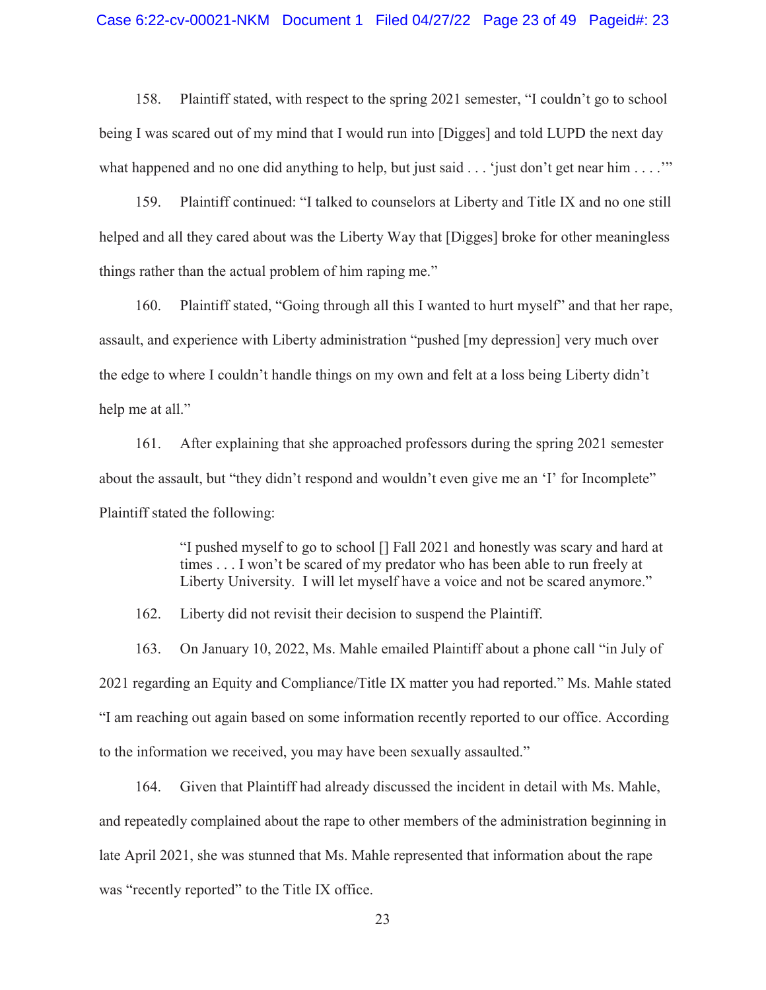158. Plaintiff stated, with respect to the spring 2021 semester, "I couldn't go to school being I was scared out of my mind that I would run into [Digges] and told LUPD the next day what happened and no one did anything to help, but just said  $\ldots$  'just don't get near him  $\ldots$ ."

159. Plaintiff continued: "I talked to counselors at Liberty and Title IX and no one still helped and all they cared about was the Liberty Way that [Digges] broke for other meaningless things rather than the actual problem of him raping me."

160. Plaintiff stated, "Going through all this I wanted to hurt myself" and that her rape, assault, and experience with Liberty administration "pushed [my depression] very much over the edge to where I couldn't handle things on my own and felt at a loss being Liberty didn't help me at all."

161. After explaining that she approached professors during the spring 2021 semester about the assault, but "they didn't respond and wouldn't even give me an 'I' for Incomplete" Plaintiff stated the following:

> "I pushed myself to go to school [] Fall 2021 and honestly was scary and hard at times . . . I won't be scared of my predator who has been able to run freely at Liberty University. I will let myself have a voice and not be scared anymore."

162. Liberty did not revisit their decision to suspend the Plaintiff.

163. On January 10, 2022, Ms. Mahle emailed Plaintiff about a phone call "in July of 2021 regarding an Equity and Compliance/Title IX matter you had reported." Ms. Mahle stated "I am reaching out again based on some information recently reported to our office. According to the information we received, you may have been sexually assaulted."

164. Given that Plaintiff had already discussed the incident in detail with Ms. Mahle, and repeatedly complained about the rape to other members of the administration beginning in late April 2021, she was stunned that Ms. Mahle represented that information about the rape was "recently reported" to the Title IX office.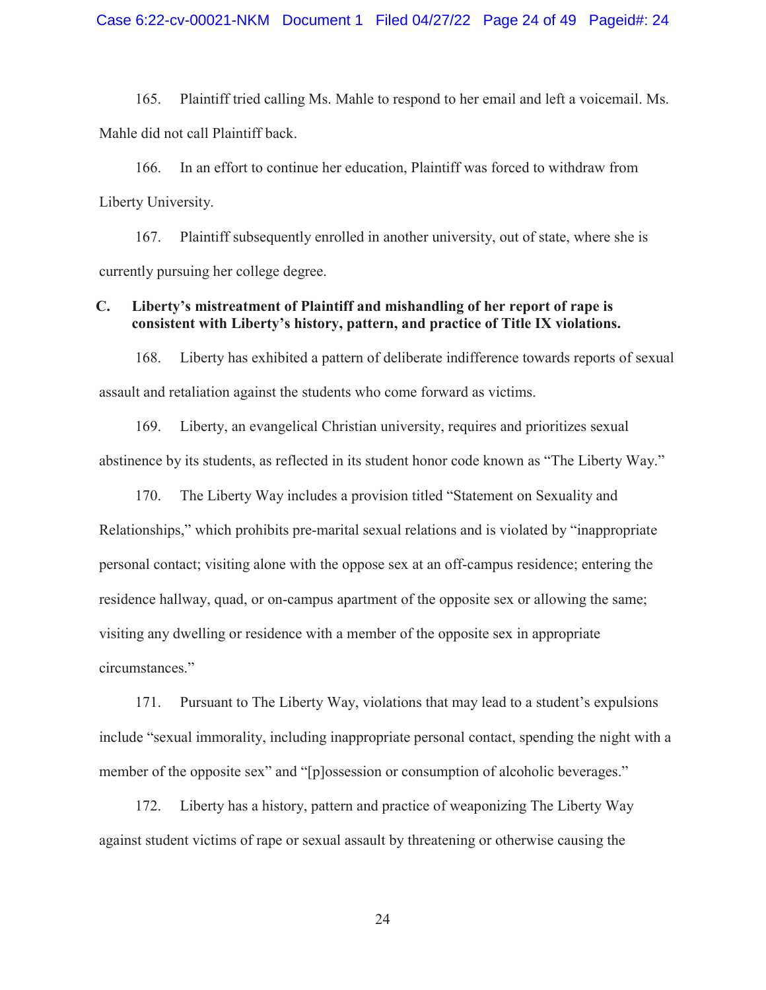165. Plaintiff tried calling Ms. Mahle to respond to her email and left a voicemail. Ms. Mahle did not call Plaintiff back.

166. In an effort to continue her education, Plaintiff was forced to withdraw from Liberty University.

167. Plaintiff subsequently enrolled in another university, out of state, where she is currently pursuing her college degree.

# **C. Liberty's mistreatment of Plaintiff and mishandling of her report of rape is consistent with Liberty's history, pattern, and practice of Title IX violations.**

168. Liberty has exhibited a pattern of deliberate indifference towards reports of sexual assault and retaliation against the students who come forward as victims.

169. Liberty, an evangelical Christian university, requires and prioritizes sexual abstinence by its students, as reflected in its student honor code known as "The Liberty Way."

170. The Liberty Way includes a provision titled "Statement on Sexuality and Relationships," which prohibits pre-marital sexual relations and is violated by "inappropriate personal contact; visiting alone with the oppose sex at an off-campus residence; entering the residence hallway, quad, or on-campus apartment of the opposite sex or allowing the same; visiting any dwelling or residence with a member of the opposite sex in appropriate circumstances."

171. Pursuant to The Liberty Way, violations that may lead to a student's expulsions include "sexual immorality, including inappropriate personal contact, spending the night with a member of the opposite sex" and "[p]ossession or consumption of alcoholic beverages."

172. Liberty has a history, pattern and practice of weaponizing The Liberty Way against student victims of rape or sexual assault by threatening or otherwise causing the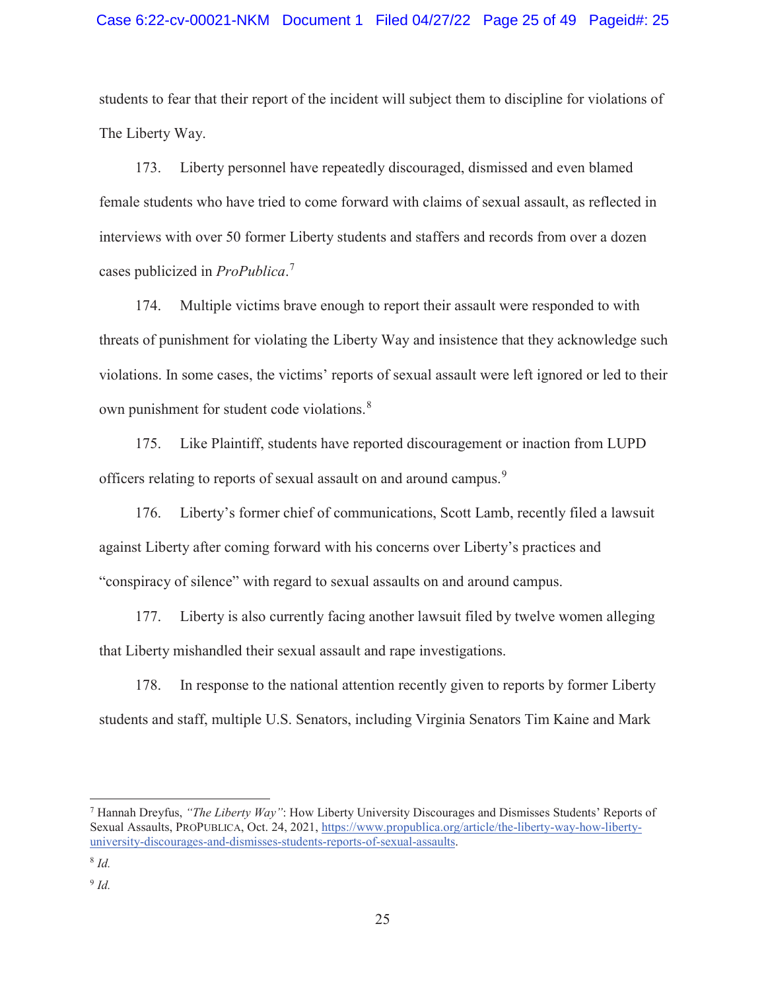students to fear that their report of the incident will subject them to discipline for violations of The Liberty Way.

173. Liberty personnel have repeatedly discouraged, dismissed and even blamed female students who have tried to come forward with claims of sexual assault, as reflected in interviews with over 50 former Liberty students and staffers and records from over a dozen cases publicized in *ProPublica*. 7

174. Multiple victims brave enough to report their assault were responded to with threats of punishment for violating the Liberty Way and insistence that they acknowledge such violations. In some cases, the victims' reports of sexual assault were left ignored or led to their own punishment for student code violations.<sup>8</sup>

175. Like Plaintiff, students have reported discouragement or inaction from LUPD officers relating to reports of sexual assault on and around campus.<sup>9</sup>

176. Liberty's former chief of communications, Scott Lamb, recently filed a lawsuit against Liberty after coming forward with his concerns over Liberty's practices and "conspiracy of silence" with regard to sexual assaults on and around campus.

177. Liberty is also currently facing another lawsuit filed by twelve women alleging that Liberty mishandled their sexual assault and rape investigations.

178. In response to the national attention recently given to reports by former Liberty students and staff, multiple U.S. Senators, including Virginia Senators Tim Kaine and Mark

 $\overline{a}$ 

<sup>7</sup> Hannah Dreyfus, *"The Liberty Way"*: How Liberty University Discourages and Dismisses Students' Reports of Sexual Assaults, PROPUBLICA, Oct. 24, 2021, https://www.propublica.org/article/the-liberty-way-how-libertyuniversity-discourages-and-dismisses-students-reports-of-sexual-assaults.

<sup>8</sup> *Id.* 

<sup>9</sup> *Id.*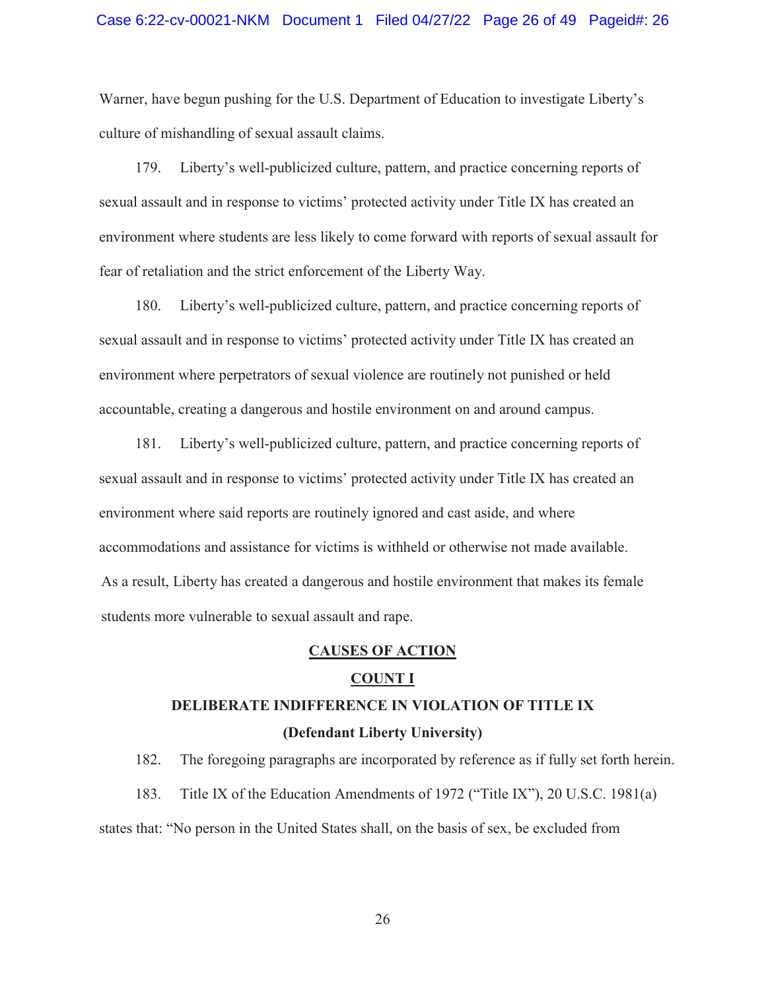Warner, have begun pushing for the U.S. Department of Education to investigate Liberty's culture of mishandling of sexual assault claims.

179. Liberty's well-publicized culture, pattern, and practice concerning reports of sexual assault and in response to victims' protected activity under Title IX has created an environment where students are less likely to come forward with reports of sexual assault for fear of retaliation and the strict enforcement of the Liberty Way.

180. Liberty's well-publicized culture, pattern, and practice concerning reports of sexual assault and in response to victims' protected activity under Title IX has created an environment where perpetrators of sexual violence are routinely not punished or held accountable, creating a dangerous and hostile environment on and around campus.

181. Liberty's well-publicized culture, pattern, and practice concerning reports of sexual assault and in response to victims' protected activity under Title IX has created an environment where said reports are routinely ignored and cast aside, and where accommodations and assistance for victims is withheld or otherwise not made available. As a result, Liberty has created a dangerous and hostile environment that makes its female students more vulnerable to sexual assault and rape.

#### **CAUSES OF ACTION**

#### **COUNT I**

# **DELIBERATE INDIFFERENCE IN VIOLATION OF TITLE IX (Defendant Liberty University)**

182. The foregoing paragraphs are incorporated by reference as if fully set forth herein. 183. Title IX of the Education Amendments of 1972 ("Title IX"), 20 U.S.C. 1981(a) states that: "No person in the United States shall, on the basis of sex, be excluded from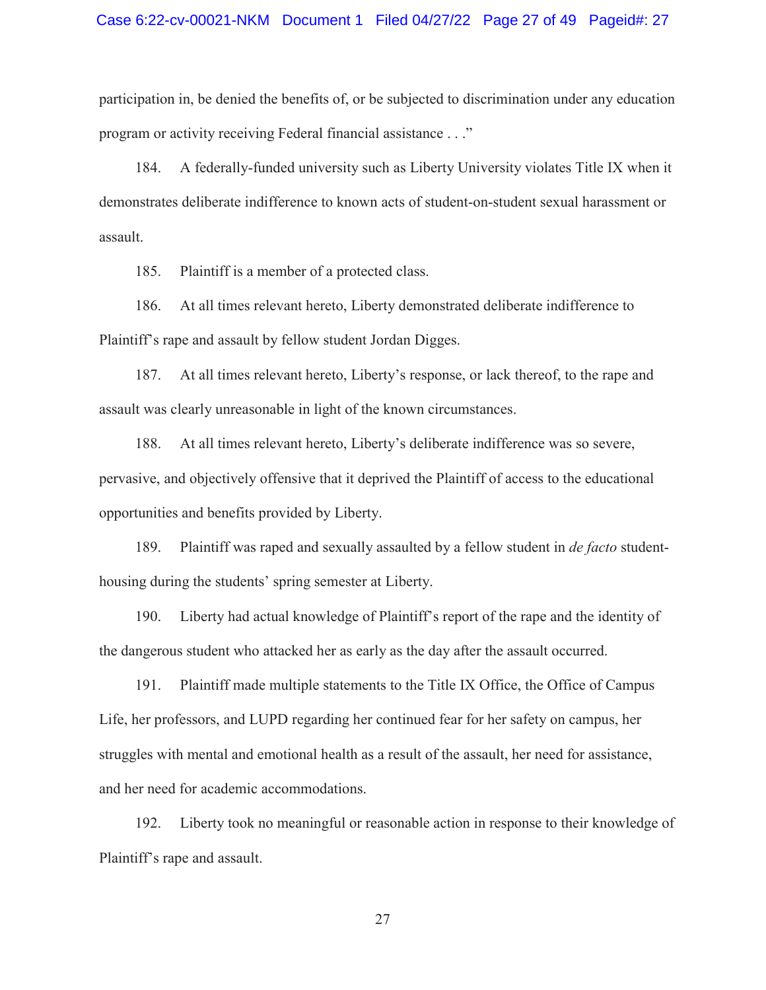participation in, be denied the benefits of, or be subjected to discrimination under any education program or activity receiving Federal financial assistance . . ."

184. A federally-funded university such as Liberty University violates Title IX when it demonstrates deliberate indifference to known acts of student-on-student sexual harassment or assault.

185. Plaintiff is a member of a protected class.

186. At all times relevant hereto, Liberty demonstrated deliberate indifference to Plaintiff's rape and assault by fellow student Jordan Digges.

187. At all times relevant hereto, Liberty's response, or lack thereof, to the rape and assault was clearly unreasonable in light of the known circumstances.

188. At all times relevant hereto, Liberty's deliberate indifference was so severe, pervasive, and objectively offensive that it deprived the Plaintiff of access to the educational opportunities and benefits provided by Liberty.

189. Plaintiff was raped and sexually assaulted by a fellow student in *de facto* studenthousing during the students' spring semester at Liberty.

190. Liberty had actual knowledge of Plaintiff's report of the rape and the identity of the dangerous student who attacked her as early as the day after the assault occurred.

191. Plaintiff made multiple statements to the Title IX Office, the Office of Campus Life, her professors, and LUPD regarding her continued fear for her safety on campus, her struggles with mental and emotional health as a result of the assault, her need for assistance, and her need for academic accommodations.

192. Liberty took no meaningful or reasonable action in response to their knowledge of Plaintiff's rape and assault.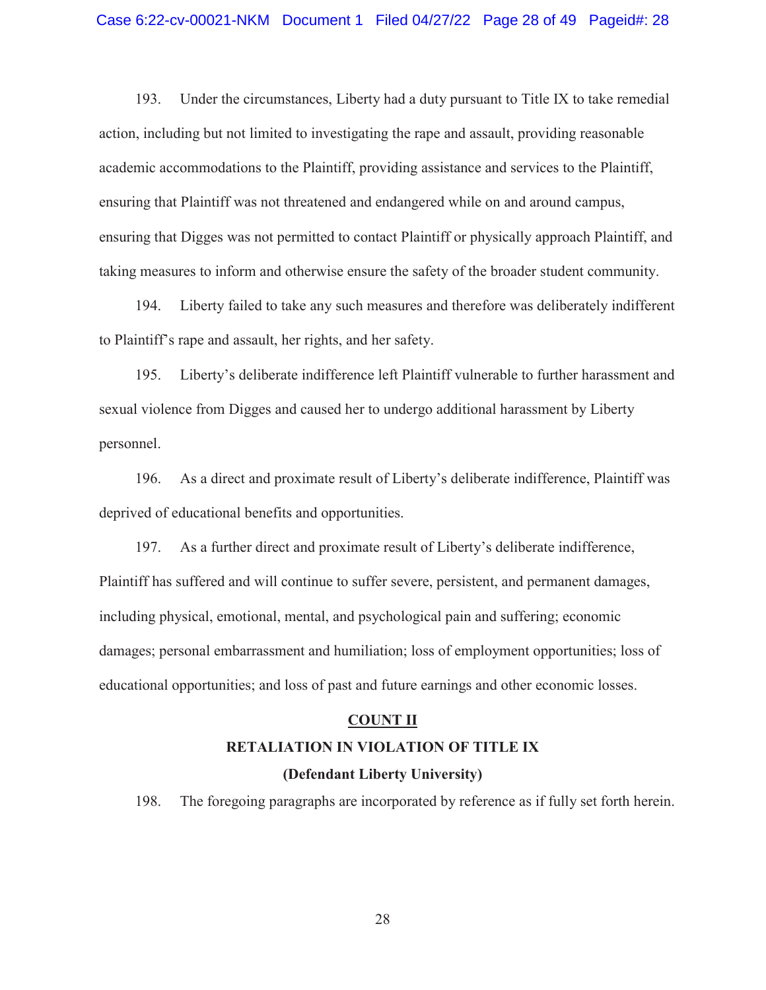193. Under the circumstances, Liberty had a duty pursuant to Title IX to take remedial action, including but not limited to investigating the rape and assault, providing reasonable academic accommodations to the Plaintiff, providing assistance and services to the Plaintiff, ensuring that Plaintiff was not threatened and endangered while on and around campus, ensuring that Digges was not permitted to contact Plaintiff or physically approach Plaintiff, and taking measures to inform and otherwise ensure the safety of the broader student community.

194. Liberty failed to take any such measures and therefore was deliberately indifferent to Plaintiff's rape and assault, her rights, and her safety.

195. Liberty's deliberate indifference left Plaintiff vulnerable to further harassment and sexual violence from Digges and caused her to undergo additional harassment by Liberty personnel.

196. As a direct and proximate result of Liberty's deliberate indifference, Plaintiff was deprived of educational benefits and opportunities.

197. As a further direct and proximate result of Liberty's deliberate indifference, Plaintiff has suffered and will continue to suffer severe, persistent, and permanent damages, including physical, emotional, mental, and psychological pain and suffering; economic damages; personal embarrassment and humiliation; loss of employment opportunities; loss of educational opportunities; and loss of past and future earnings and other economic losses.

#### **COUNT II**

# **RETALIATION IN VIOLATION OF TITLE IX**

# **(Defendant Liberty University)**

198. The foregoing paragraphs are incorporated by reference as if fully set forth herein.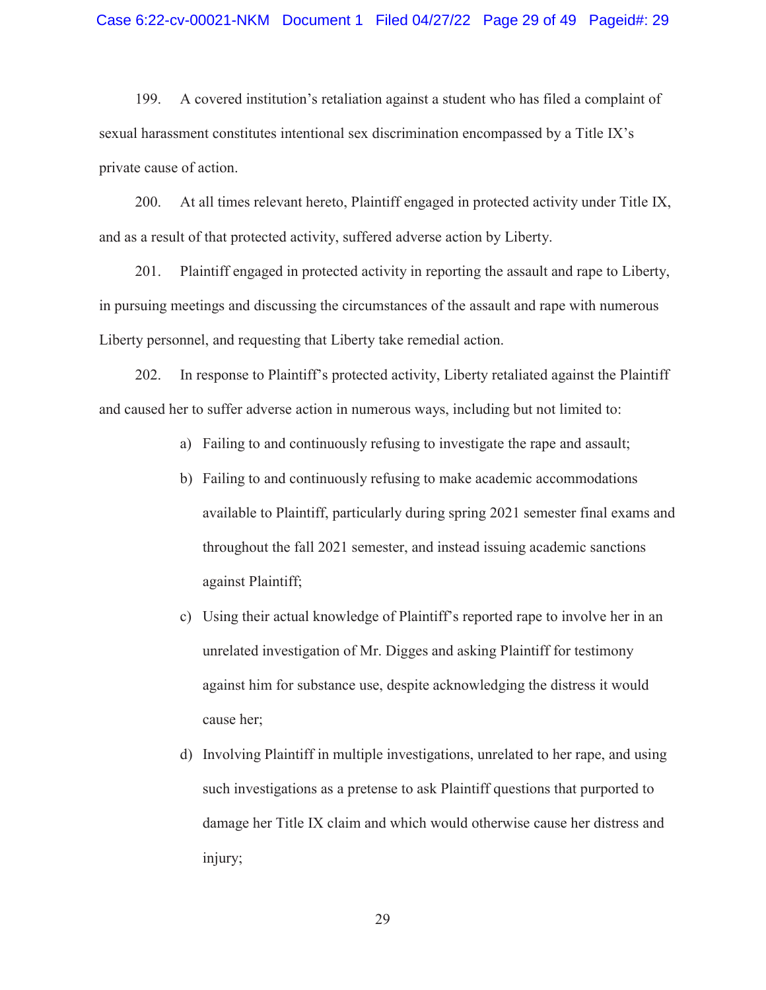199. A covered institution's retaliation against a student who has filed a complaint of sexual harassment constitutes intentional sex discrimination encompassed by a Title IX's private cause of action.

200. At all times relevant hereto, Plaintiff engaged in protected activity under Title IX, and as a result of that protected activity, suffered adverse action by Liberty.

201. Plaintiff engaged in protected activity in reporting the assault and rape to Liberty, in pursuing meetings and discussing the circumstances of the assault and rape with numerous Liberty personnel, and requesting that Liberty take remedial action.

202. In response to Plaintiff's protected activity, Liberty retaliated against the Plaintiff and caused her to suffer adverse action in numerous ways, including but not limited to:

- a) Failing to and continuously refusing to investigate the rape and assault;
- b) Failing to and continuously refusing to make academic accommodations available to Plaintiff, particularly during spring 2021 semester final exams and throughout the fall 2021 semester, and instead issuing academic sanctions against Plaintiff;
- c) Using their actual knowledge of Plaintiff's reported rape to involve her in an unrelated investigation of Mr. Digges and asking Plaintiff for testimony against him for substance use, despite acknowledging the distress it would cause her;
- d) Involving Plaintiff in multiple investigations, unrelated to her rape, and using such investigations as a pretense to ask Plaintiff questions that purported to damage her Title IX claim and which would otherwise cause her distress and injury;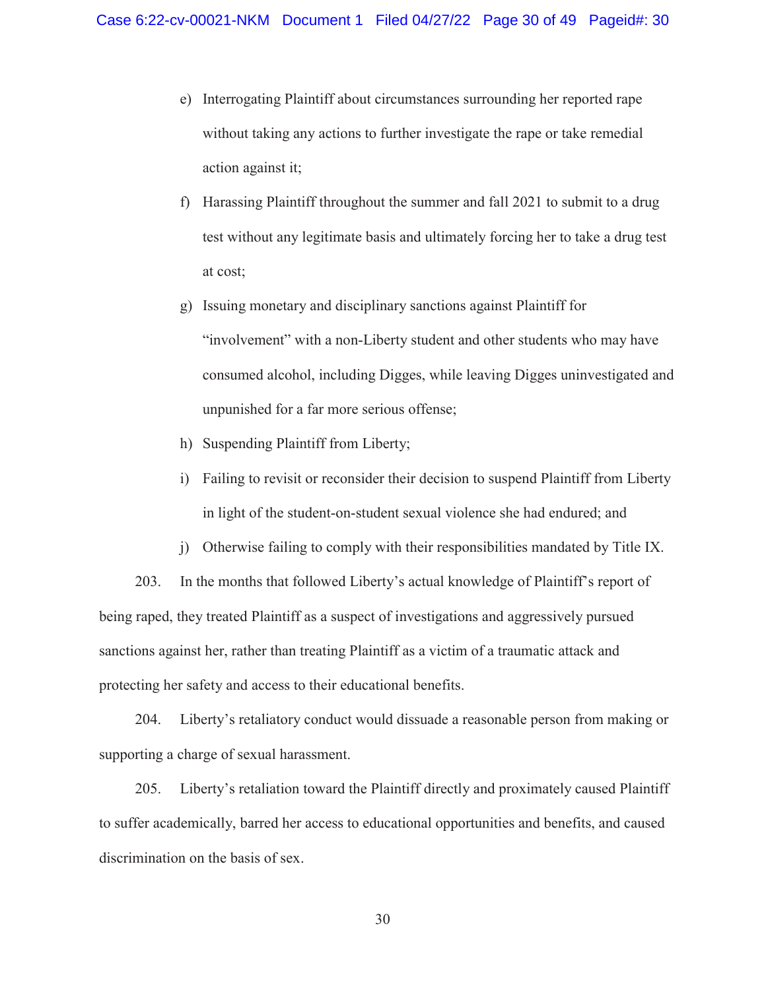- e) Interrogating Plaintiff about circumstances surrounding her reported rape without taking any actions to further investigate the rape or take remedial action against it;
- f) Harassing Plaintiff throughout the summer and fall 2021 to submit to a drug test without any legitimate basis and ultimately forcing her to take a drug test at cost;
- g) Issuing monetary and disciplinary sanctions against Plaintiff for "involvement" with a non-Liberty student and other students who may have consumed alcohol, including Digges, while leaving Digges uninvestigated and unpunished for a far more serious offense;
- h) Suspending Plaintiff from Liberty;
- i) Failing to revisit or reconsider their decision to suspend Plaintiff from Liberty in light of the student-on-student sexual violence she had endured; and
- j) Otherwise failing to comply with their responsibilities mandated by Title IX.

203. In the months that followed Liberty's actual knowledge of Plaintiff's report of being raped, they treated Plaintiff as a suspect of investigations and aggressively pursued sanctions against her, rather than treating Plaintiff as a victim of a traumatic attack and protecting her safety and access to their educational benefits.

204. Liberty's retaliatory conduct would dissuade a reasonable person from making or supporting a charge of sexual harassment.

205. Liberty's retaliation toward the Plaintiff directly and proximately caused Plaintiff to suffer academically, barred her access to educational opportunities and benefits, and caused discrimination on the basis of sex.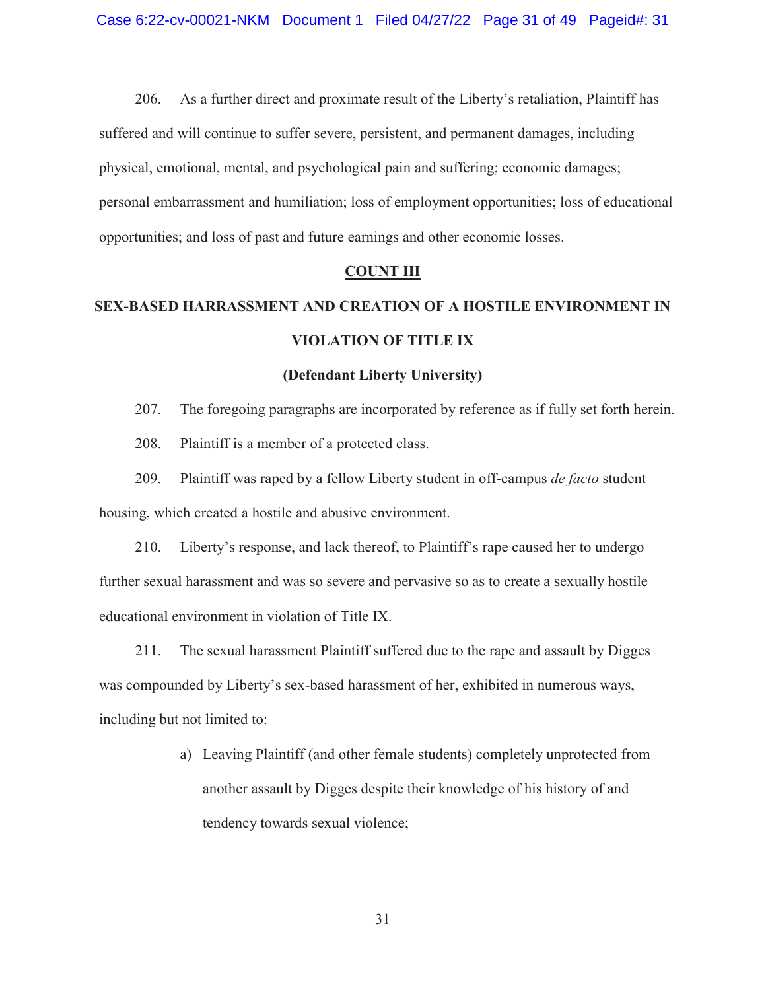206. As a further direct and proximate result of the Liberty's retaliation, Plaintiff has suffered and will continue to suffer severe, persistent, and permanent damages, including physical, emotional, mental, and psychological pain and suffering; economic damages; personal embarrassment and humiliation; loss of employment opportunities; loss of educational opportunities; and loss of past and future earnings and other economic losses.

#### **COUNT III**

# **SEX-BASED HARRASSMENT AND CREATION OF A HOSTILE ENVIRONMENT IN VIOLATION OF TITLE IX**

#### **(Defendant Liberty University)**

207. The foregoing paragraphs are incorporated by reference as if fully set forth herein.

208. Plaintiff is a member of a protected class.

209. Plaintiff was raped by a fellow Liberty student in off-campus *de facto* student housing, which created a hostile and abusive environment.

210. Liberty's response, and lack thereof, to Plaintiff's rape caused her to undergo further sexual harassment and was so severe and pervasive so as to create a sexually hostile educational environment in violation of Title IX.

211. The sexual harassment Plaintiff suffered due to the rape and assault by Digges was compounded by Liberty's sex-based harassment of her, exhibited in numerous ways, including but not limited to:

> a) Leaving Plaintiff (and other female students) completely unprotected from another assault by Digges despite their knowledge of his history of and tendency towards sexual violence;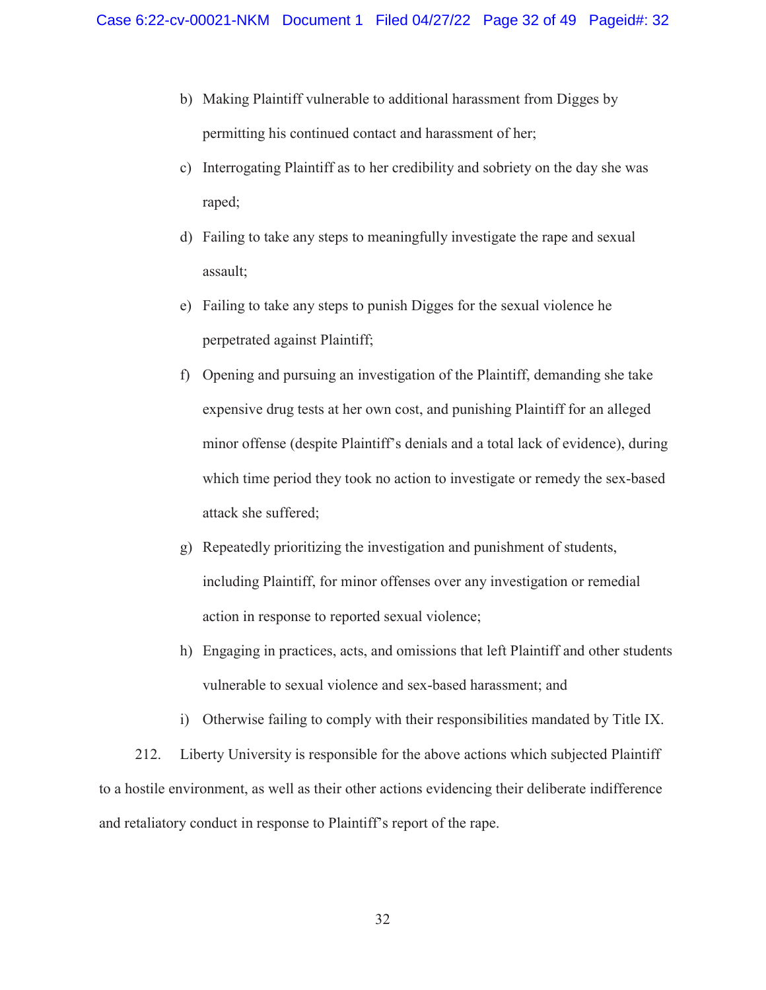- b) Making Plaintiff vulnerable to additional harassment from Digges by permitting his continued contact and harassment of her;
- c) Interrogating Plaintiff as to her credibility and sobriety on the day she was raped;
- d) Failing to take any steps to meaningfully investigate the rape and sexual assault;
- e) Failing to take any steps to punish Digges for the sexual violence he perpetrated against Plaintiff;
- f) Opening and pursuing an investigation of the Plaintiff, demanding she take expensive drug tests at her own cost, and punishing Plaintiff for an alleged minor offense (despite Plaintiff's denials and a total lack of evidence), during which time period they took no action to investigate or remedy the sex-based attack she suffered;
- g) Repeatedly prioritizing the investigation and punishment of students, including Plaintiff, for minor offenses over any investigation or remedial action in response to reported sexual violence;
- h) Engaging in practices, acts, and omissions that left Plaintiff and other students vulnerable to sexual violence and sex-based harassment; and
- i) Otherwise failing to comply with their responsibilities mandated by Title IX.

212. Liberty University is responsible for the above actions which subjected Plaintiff to a hostile environment, as well as their other actions evidencing their deliberate indifference and retaliatory conduct in response to Plaintiff's report of the rape.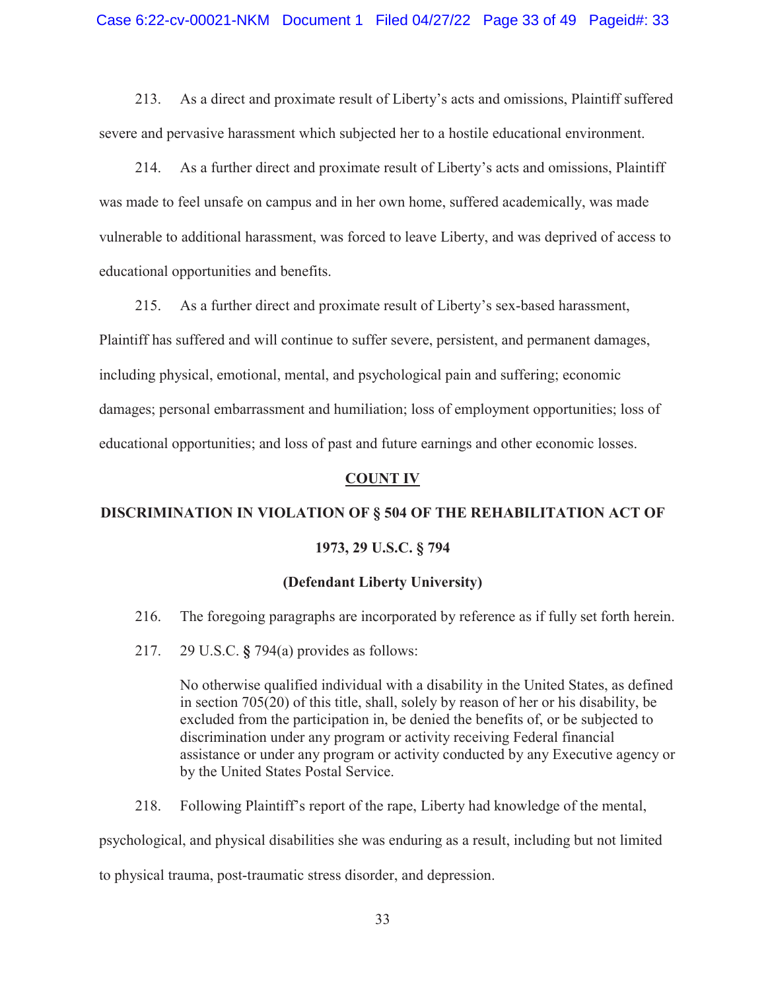213. As a direct and proximate result of Liberty's acts and omissions, Plaintiff suffered severe and pervasive harassment which subjected her to a hostile educational environment.

214. As a further direct and proximate result of Liberty's acts and omissions, Plaintiff was made to feel unsafe on campus and in her own home, suffered academically, was made vulnerable to additional harassment, was forced to leave Liberty, and was deprived of access to educational opportunities and benefits.

215. As a further direct and proximate result of Liberty's sex-based harassment, Plaintiff has suffered and will continue to suffer severe, persistent, and permanent damages, including physical, emotional, mental, and psychological pain and suffering; economic damages; personal embarrassment and humiliation; loss of employment opportunities; loss of educational opportunities; and loss of past and future earnings and other economic losses.

#### **COUNT IV**

# **DISCRIMINATION IN VIOLATION OF § 504 OF THE REHABILITATION ACT OF**

#### **1973, 29 U.S.C. § 794**

### **(Defendant Liberty University)**

- 216. The foregoing paragraphs are incorporated by reference as if fully set forth herein.
- 217. 29 U.S.C. **§** 794(a) provides as follows:

No otherwise qualified individual with a disability in the United States, as defined in section 705(20) of this title, shall, solely by reason of her or his disability, be excluded from the participation in, be denied the benefits of, or be subjected to discrimination under any program or activity receiving Federal financial assistance or under any program or activity conducted by any Executive agency or by the United States Postal Service.

218. Following Plaintiff's report of the rape, Liberty had knowledge of the mental,

psychological, and physical disabilities she was enduring as a result, including but not limited

to physical trauma, post-traumatic stress disorder, and depression.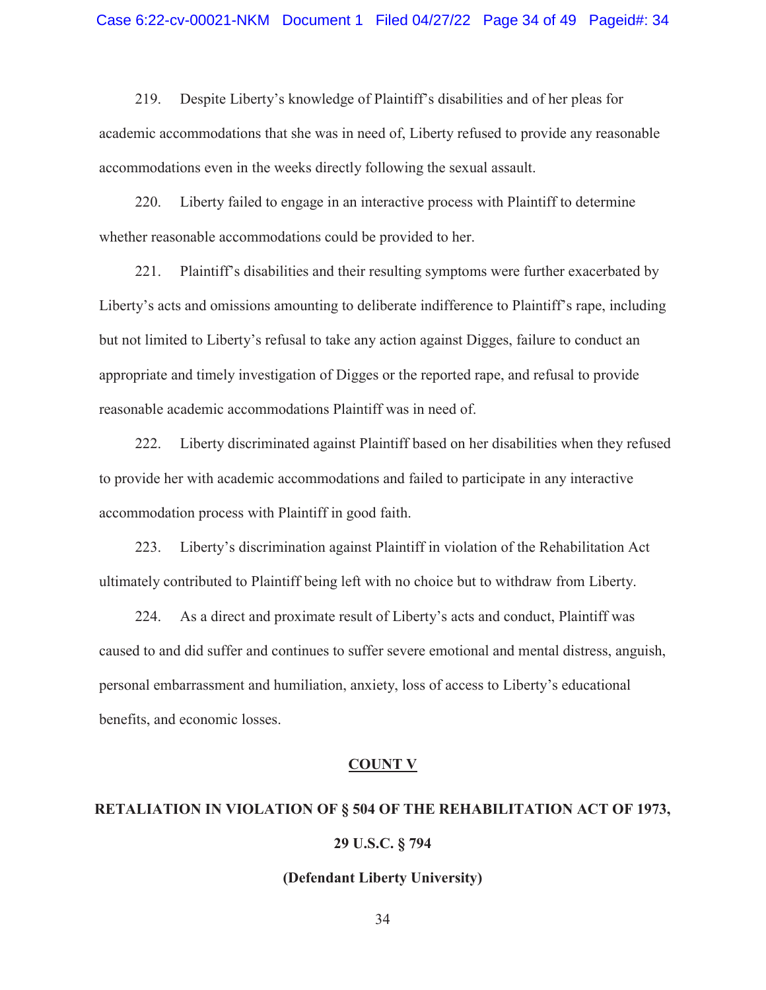219. Despite Liberty's knowledge of Plaintiff's disabilities and of her pleas for academic accommodations that she was in need of, Liberty refused to provide any reasonable accommodations even in the weeks directly following the sexual assault.

220. Liberty failed to engage in an interactive process with Plaintiff to determine whether reasonable accommodations could be provided to her.

221. Plaintiff's disabilities and their resulting symptoms were further exacerbated by Liberty's acts and omissions amounting to deliberate indifference to Plaintiff's rape, including but not limited to Liberty's refusal to take any action against Digges, failure to conduct an appropriate and timely investigation of Digges or the reported rape, and refusal to provide reasonable academic accommodations Plaintiff was in need of.

222. Liberty discriminated against Plaintiff based on her disabilities when they refused to provide her with academic accommodations and failed to participate in any interactive accommodation process with Plaintiff in good faith.

223. Liberty's discrimination against Plaintiff in violation of the Rehabilitation Act ultimately contributed to Plaintiff being left with no choice but to withdraw from Liberty.

224. As a direct and proximate result of Liberty's acts and conduct, Plaintiff was caused to and did suffer and continues to suffer severe emotional and mental distress, anguish, personal embarrassment and humiliation, anxiety, loss of access to Liberty's educational benefits, and economic losses.

#### **COUNT V**

# **RETALIATION IN VIOLATION OF § 504 OF THE REHABILITATION ACT OF 1973, 29 U.S.C. § 794**

#### **(Defendant Liberty University)**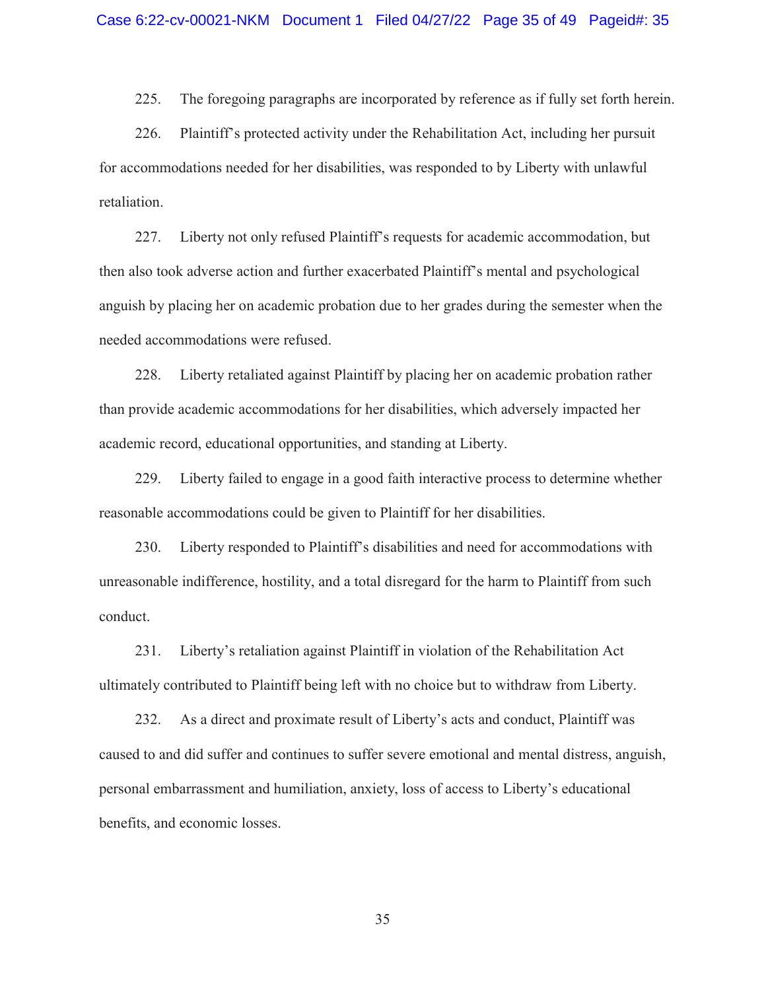225. The foregoing paragraphs are incorporated by reference as if fully set forth herein.

226. Plaintiff's protected activity under the Rehabilitation Act, including her pursuit for accommodations needed for her disabilities, was responded to by Liberty with unlawful retaliation.

227. Liberty not only refused Plaintiff's requests for academic accommodation, but then also took adverse action and further exacerbated Plaintiff's mental and psychological anguish by placing her on academic probation due to her grades during the semester when the needed accommodations were refused.

228. Liberty retaliated against Plaintiff by placing her on academic probation rather than provide academic accommodations for her disabilities, which adversely impacted her academic record, educational opportunities, and standing at Liberty.

229. Liberty failed to engage in a good faith interactive process to determine whether reasonable accommodations could be given to Plaintiff for her disabilities.

230. Liberty responded to Plaintiff's disabilities and need for accommodations with unreasonable indifference, hostility, and a total disregard for the harm to Plaintiff from such conduct.

231. Liberty's retaliation against Plaintiff in violation of the Rehabilitation Act ultimately contributed to Plaintiff being left with no choice but to withdraw from Liberty.

232. As a direct and proximate result of Liberty's acts and conduct, Plaintiff was caused to and did suffer and continues to suffer severe emotional and mental distress, anguish, personal embarrassment and humiliation, anxiety, loss of access to Liberty's educational benefits, and economic losses.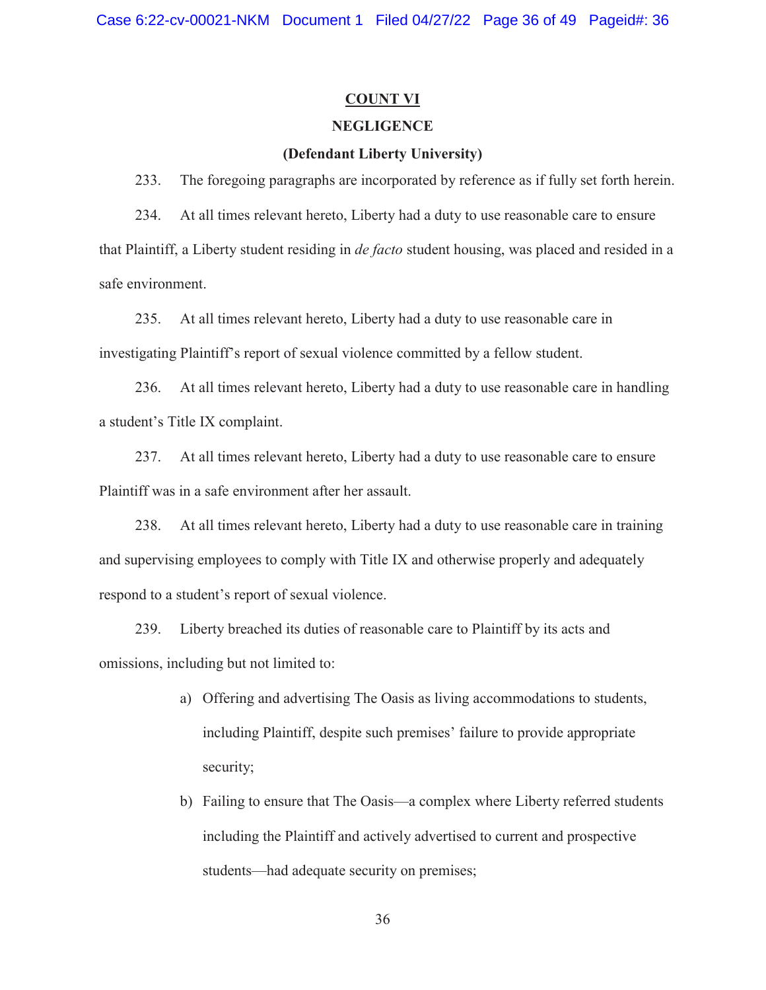# **COUNT VI**

# **NEGLIGENCE**

# **(Defendant Liberty University)**

233. The foregoing paragraphs are incorporated by reference as if fully set forth herein.

234. At all times relevant hereto, Liberty had a duty to use reasonable care to ensure that Plaintiff, a Liberty student residing in *de facto* student housing, was placed and resided in a safe environment.

235. At all times relevant hereto, Liberty had a duty to use reasonable care in investigating Plaintiff's report of sexual violence committed by a fellow student.

236. At all times relevant hereto, Liberty had a duty to use reasonable care in handling a student's Title IX complaint.

237. At all times relevant hereto, Liberty had a duty to use reasonable care to ensure Plaintiff was in a safe environment after her assault.

238. At all times relevant hereto, Liberty had a duty to use reasonable care in training and supervising employees to comply with Title IX and otherwise properly and adequately respond to a student's report of sexual violence.

239. Liberty breached its duties of reasonable care to Plaintiff by its acts and omissions, including but not limited to:

- a) Offering and advertising The Oasis as living accommodations to students, including Plaintiff, despite such premises' failure to provide appropriate security;
- b) Failing to ensure that The Oasis—a complex where Liberty referred students including the Plaintiff and actively advertised to current and prospective students—had adequate security on premises;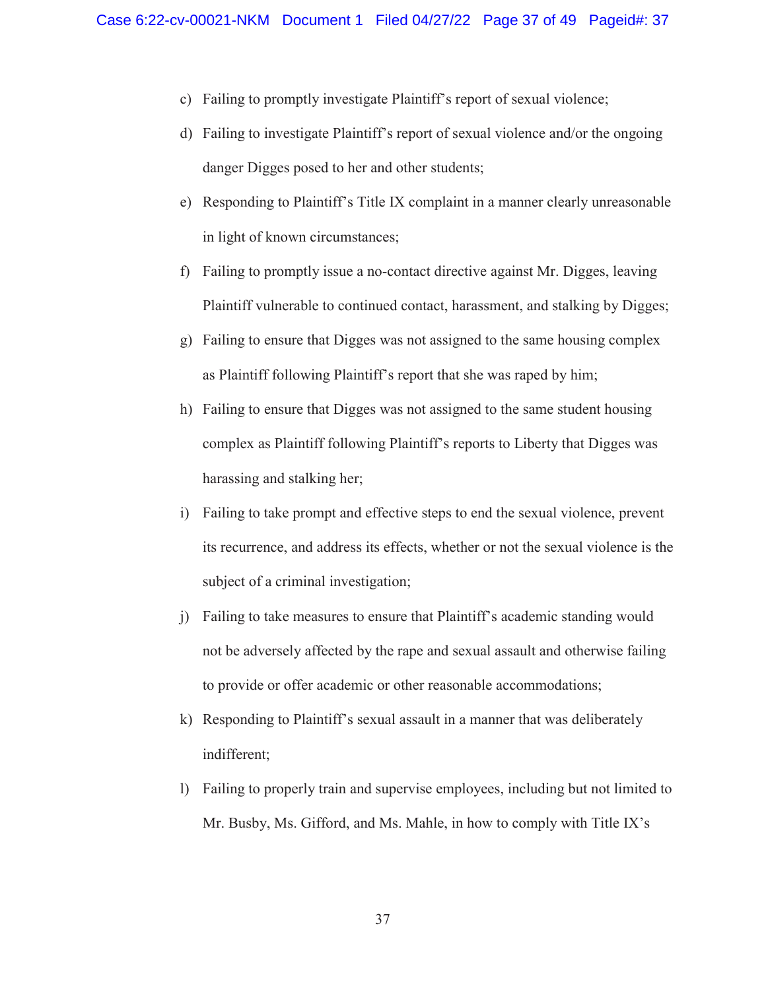- c) Failing to promptly investigate Plaintiff's report of sexual violence;
- d) Failing to investigate Plaintiff's report of sexual violence and/or the ongoing danger Digges posed to her and other students;
- e) Responding to Plaintiff's Title IX complaint in a manner clearly unreasonable in light of known circumstances;
- f) Failing to promptly issue a no-contact directive against Mr. Digges, leaving Plaintiff vulnerable to continued contact, harassment, and stalking by Digges;
- g) Failing to ensure that Digges was not assigned to the same housing complex as Plaintiff following Plaintiff's report that she was raped by him;
- h) Failing to ensure that Digges was not assigned to the same student housing complex as Plaintiff following Plaintiff's reports to Liberty that Digges was harassing and stalking her;
- i) Failing to take prompt and effective steps to end the sexual violence, prevent its recurrence, and address its effects, whether or not the sexual violence is the subject of a criminal investigation;
- j) Failing to take measures to ensure that Plaintiff's academic standing would not be adversely affected by the rape and sexual assault and otherwise failing to provide or offer academic or other reasonable accommodations;
- k) Responding to Plaintiff's sexual assault in a manner that was deliberately indifferent;
- l) Failing to properly train and supervise employees, including but not limited to Mr. Busby, Ms. Gifford, and Ms. Mahle, in how to comply with Title IX's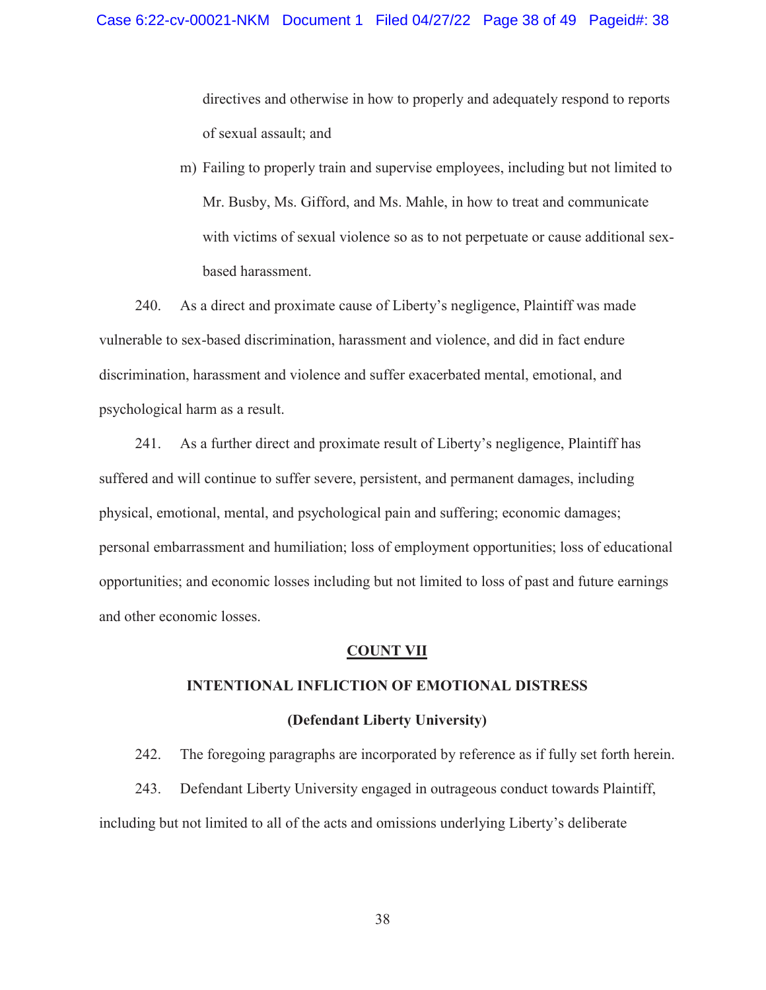directives and otherwise in how to properly and adequately respond to reports of sexual assault; and

m) Failing to properly train and supervise employees, including but not limited to Mr. Busby, Ms. Gifford, and Ms. Mahle, in how to treat and communicate with victims of sexual violence so as to not perpetuate or cause additional sexbased harassment.

240. As a direct and proximate cause of Liberty's negligence, Plaintiff was made vulnerable to sex-based discrimination, harassment and violence, and did in fact endure discrimination, harassment and violence and suffer exacerbated mental, emotional, and psychological harm as a result.

241. As a further direct and proximate result of Liberty's negligence, Plaintiff has suffered and will continue to suffer severe, persistent, and permanent damages, including physical, emotional, mental, and psychological pain and suffering; economic damages; personal embarrassment and humiliation; loss of employment opportunities; loss of educational opportunities; and economic losses including but not limited to loss of past and future earnings and other economic losses.

#### **COUNT VII**

#### **INTENTIONAL INFLICTION OF EMOTIONAL DISTRESS**

#### **(Defendant Liberty University)**

242. The foregoing paragraphs are incorporated by reference as if fully set forth herein.

243. Defendant Liberty University engaged in outrageous conduct towards Plaintiff, including but not limited to all of the acts and omissions underlying Liberty's deliberate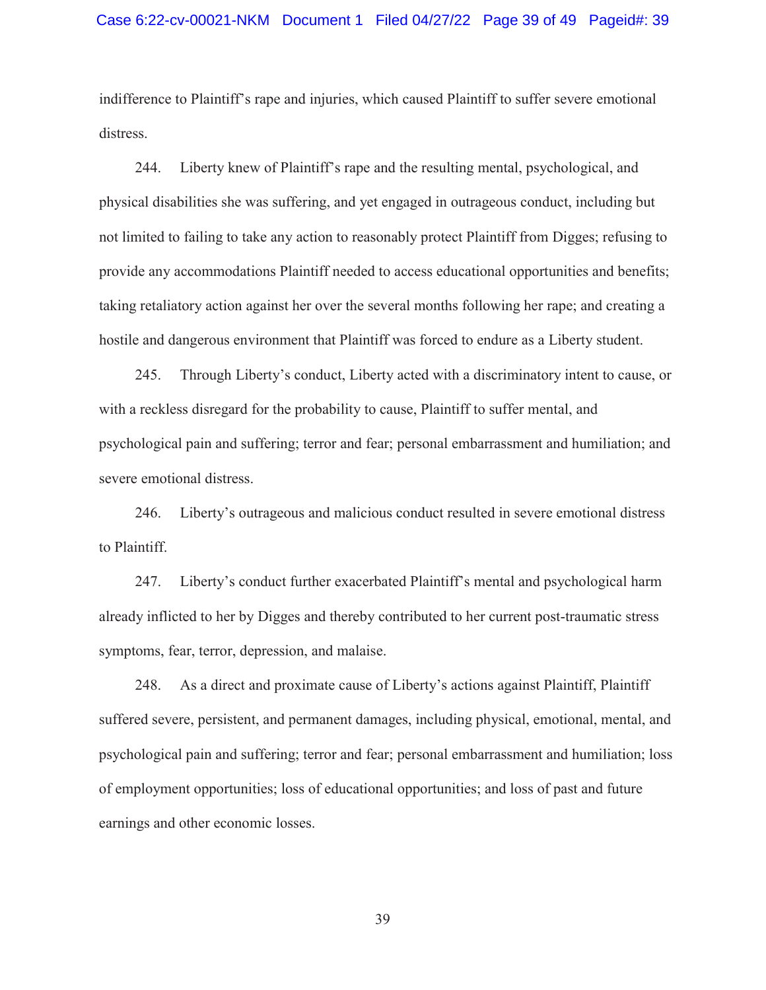indifference to Plaintiff's rape and injuries, which caused Plaintiff to suffer severe emotional distress.

244. Liberty knew of Plaintiff's rape and the resulting mental, psychological, and physical disabilities she was suffering, and yet engaged in outrageous conduct, including but not limited to failing to take any action to reasonably protect Plaintiff from Digges; refusing to provide any accommodations Plaintiff needed to access educational opportunities and benefits; taking retaliatory action against her over the several months following her rape; and creating a hostile and dangerous environment that Plaintiff was forced to endure as a Liberty student.

245. Through Liberty's conduct, Liberty acted with a discriminatory intent to cause, or with a reckless disregard for the probability to cause, Plaintiff to suffer mental, and psychological pain and suffering; terror and fear; personal embarrassment and humiliation; and severe emotional distress.

246. Liberty's outrageous and malicious conduct resulted in severe emotional distress to Plaintiff.

247. Liberty's conduct further exacerbated Plaintiff's mental and psychological harm already inflicted to her by Digges and thereby contributed to her current post-traumatic stress symptoms, fear, terror, depression, and malaise.

248. As a direct and proximate cause of Liberty's actions against Plaintiff, Plaintiff suffered severe, persistent, and permanent damages, including physical, emotional, mental, and psychological pain and suffering; terror and fear; personal embarrassment and humiliation; loss of employment opportunities; loss of educational opportunities; and loss of past and future earnings and other economic losses.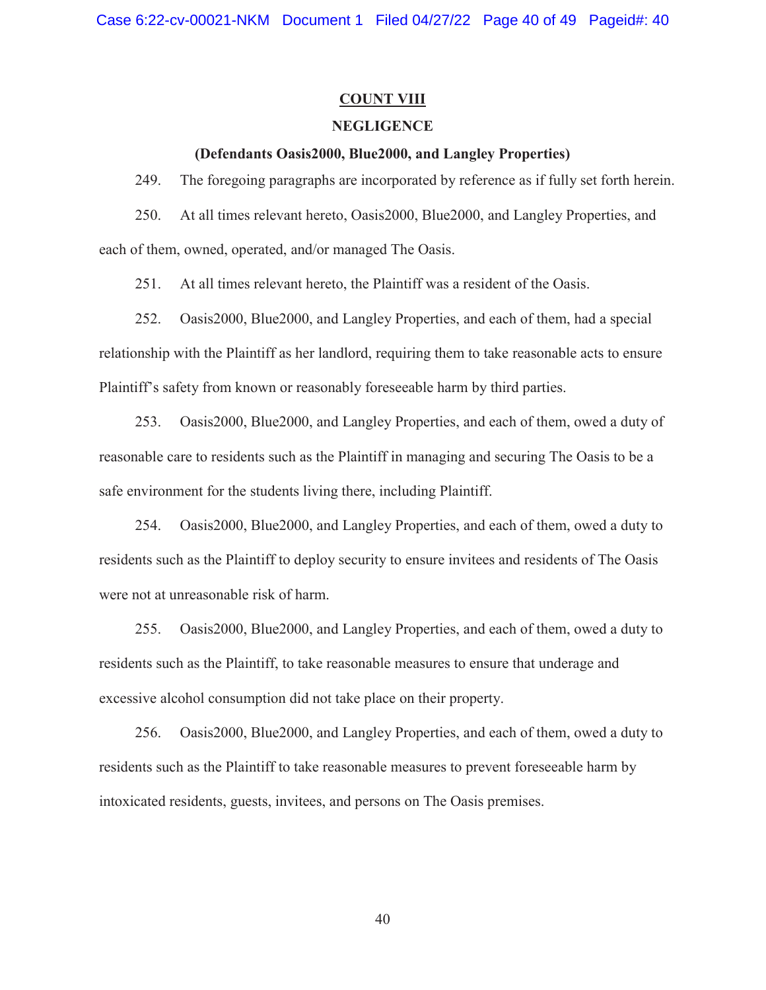# **COUNT VIII**

# **NEGLIGENCE**

## **(Defendants Oasis2000, Blue2000, and Langley Properties)**

249. The foregoing paragraphs are incorporated by reference as if fully set forth herein.

250. At all times relevant hereto, Oasis2000, Blue2000, and Langley Properties, and each of them, owned, operated, and/or managed The Oasis.

251. At all times relevant hereto, the Plaintiff was a resident of the Oasis.

252. Oasis2000, Blue2000, and Langley Properties, and each of them, had a special relationship with the Plaintiff as her landlord, requiring them to take reasonable acts to ensure Plaintiff's safety from known or reasonably foreseeable harm by third parties.

253. Oasis2000, Blue2000, and Langley Properties, and each of them, owed a duty of reasonable care to residents such as the Plaintiff in managing and securing The Oasis to be a safe environment for the students living there, including Plaintiff.

254. Oasis2000, Blue2000, and Langley Properties, and each of them, owed a duty to residents such as the Plaintiff to deploy security to ensure invitees and residents of The Oasis were not at unreasonable risk of harm.

255. Oasis2000, Blue2000, and Langley Properties, and each of them, owed a duty to residents such as the Plaintiff, to take reasonable measures to ensure that underage and excessive alcohol consumption did not take place on their property.

256. Oasis2000, Blue2000, and Langley Properties, and each of them, owed a duty to residents such as the Plaintiff to take reasonable measures to prevent foreseeable harm by intoxicated residents, guests, invitees, and persons on The Oasis premises.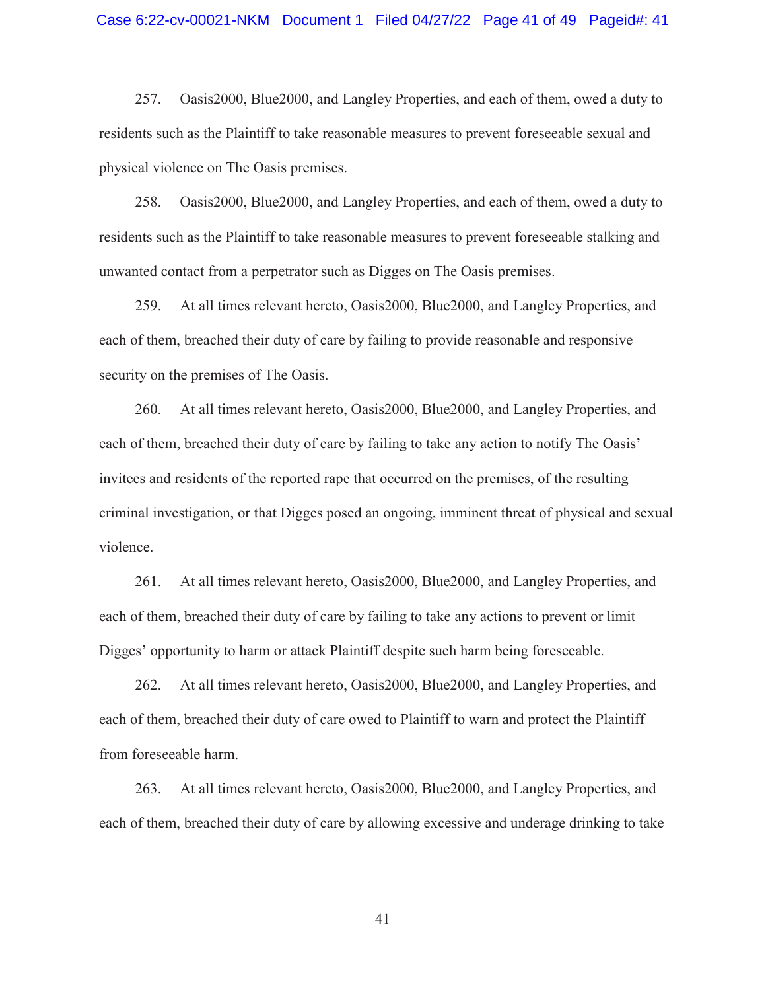257. Oasis2000, Blue2000, and Langley Properties, and each of them, owed a duty to residents such as the Plaintiff to take reasonable measures to prevent foreseeable sexual and physical violence on The Oasis premises.

258. Oasis2000, Blue2000, and Langley Properties, and each of them, owed a duty to residents such as the Plaintiff to take reasonable measures to prevent foreseeable stalking and unwanted contact from a perpetrator such as Digges on The Oasis premises.

259. At all times relevant hereto, Oasis2000, Blue2000, and Langley Properties, and each of them, breached their duty of care by failing to provide reasonable and responsive security on the premises of The Oasis.

260. At all times relevant hereto, Oasis2000, Blue2000, and Langley Properties, and each of them, breached their duty of care by failing to take any action to notify The Oasis' invitees and residents of the reported rape that occurred on the premises, of the resulting criminal investigation, or that Digges posed an ongoing, imminent threat of physical and sexual violence.

261. At all times relevant hereto, Oasis2000, Blue2000, and Langley Properties, and each of them, breached their duty of care by failing to take any actions to prevent or limit Digges' opportunity to harm or attack Plaintiff despite such harm being foreseeable.

262. At all times relevant hereto, Oasis2000, Blue2000, and Langley Properties, and each of them, breached their duty of care owed to Plaintiff to warn and protect the Plaintiff from foreseeable harm.

263. At all times relevant hereto, Oasis2000, Blue2000, and Langley Properties, and each of them, breached their duty of care by allowing excessive and underage drinking to take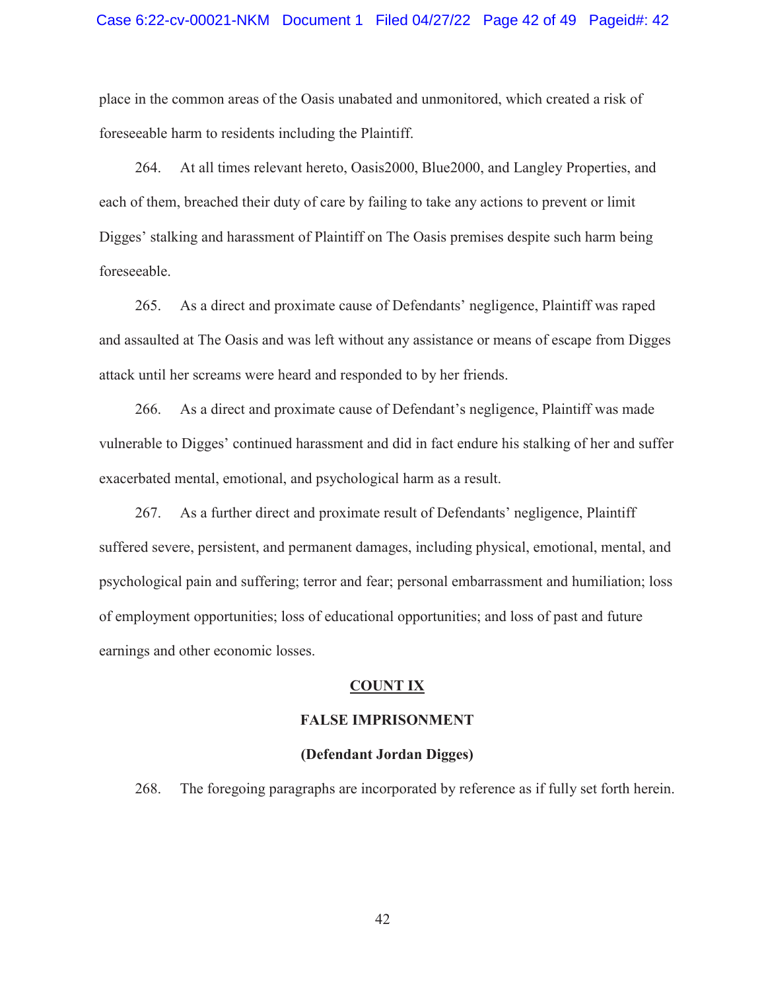place in the common areas of the Oasis unabated and unmonitored, which created a risk of foreseeable harm to residents including the Plaintiff.

264. At all times relevant hereto, Oasis2000, Blue2000, and Langley Properties, and each of them, breached their duty of care by failing to take any actions to prevent or limit Digges' stalking and harassment of Plaintiff on The Oasis premises despite such harm being foreseeable.

265. As a direct and proximate cause of Defendants' negligence, Plaintiff was raped and assaulted at The Oasis and was left without any assistance or means of escape from Digges attack until her screams were heard and responded to by her friends.

266. As a direct and proximate cause of Defendant's negligence, Plaintiff was made vulnerable to Digges' continued harassment and did in fact endure his stalking of her and suffer exacerbated mental, emotional, and psychological harm as a result.

267. As a further direct and proximate result of Defendants' negligence, Plaintiff suffered severe, persistent, and permanent damages, including physical, emotional, mental, and psychological pain and suffering; terror and fear; personal embarrassment and humiliation; loss of employment opportunities; loss of educational opportunities; and loss of past and future earnings and other economic losses.

# **COUNT IX**

#### **FALSE IMPRISONMENT**

#### **(Defendant Jordan Digges)**

268. The foregoing paragraphs are incorporated by reference as if fully set forth herein.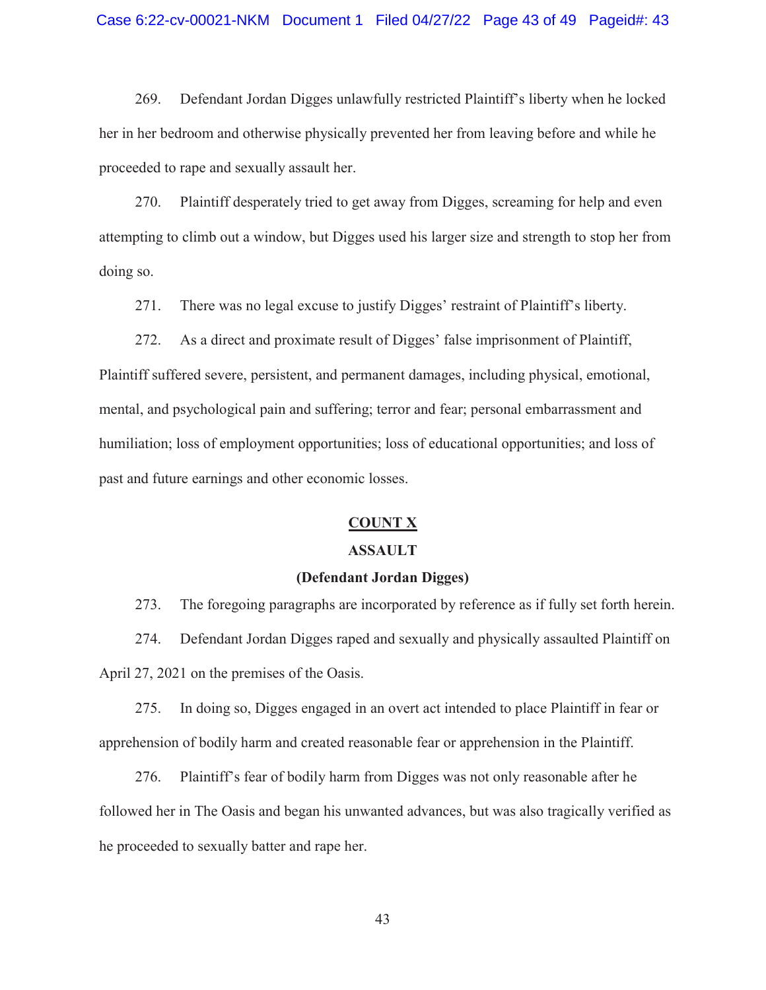#### Case 6:22-cv-00021-NKM Document 1 Filed 04/27/22 Page 43 of 49 Pageid#: 43

269. Defendant Jordan Digges unlawfully restricted Plaintiff's liberty when he locked her in her bedroom and otherwise physically prevented her from leaving before and while he proceeded to rape and sexually assault her.

270. Plaintiff desperately tried to get away from Digges, screaming for help and even attempting to climb out a window, but Digges used his larger size and strength to stop her from doing so.

271. There was no legal excuse to justify Digges' restraint of Plaintiff's liberty.

272. As a direct and proximate result of Digges' false imprisonment of Plaintiff, Plaintiff suffered severe, persistent, and permanent damages, including physical, emotional, mental, and psychological pain and suffering; terror and fear; personal embarrassment and humiliation; loss of employment opportunities; loss of educational opportunities; and loss of past and future earnings and other economic losses.

# **COUNT X**

# **ASSAULT**

# **(Defendant Jordan Digges)**

273. The foregoing paragraphs are incorporated by reference as if fully set forth herein. 274. Defendant Jordan Digges raped and sexually and physically assaulted Plaintiff on April 27, 2021 on the premises of the Oasis.

275. In doing so, Digges engaged in an overt act intended to place Plaintiff in fear or apprehension of bodily harm and created reasonable fear or apprehension in the Plaintiff.

276. Plaintiff's fear of bodily harm from Digges was not only reasonable after he followed her in The Oasis and began his unwanted advances, but was also tragically verified as he proceeded to sexually batter and rape her.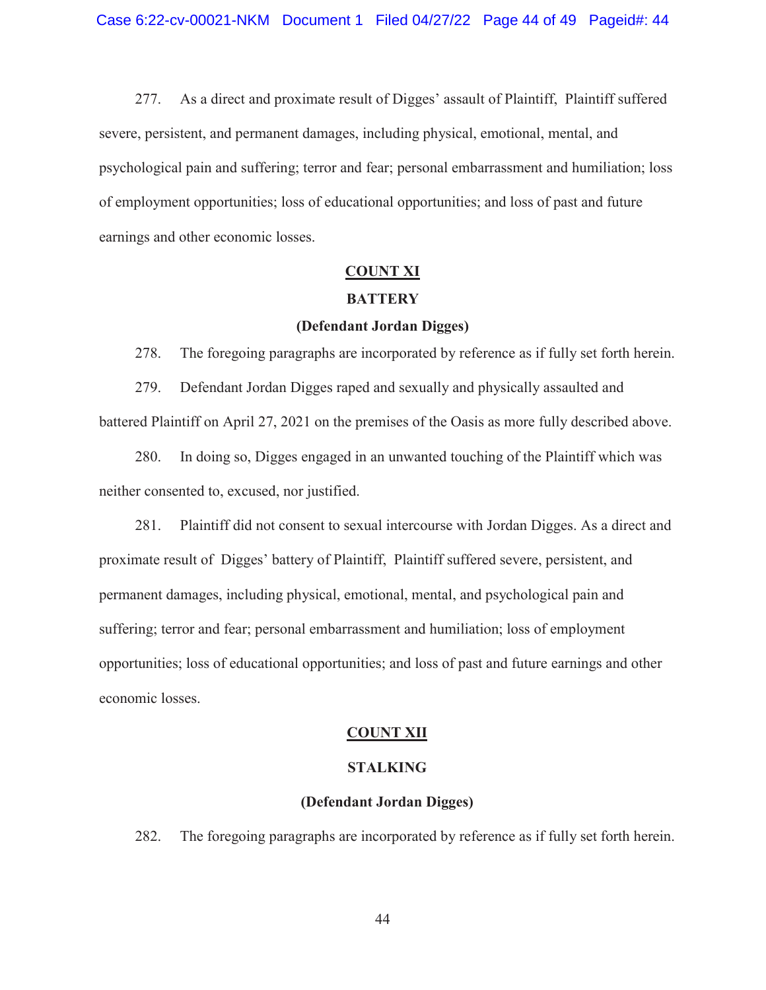277. As a direct and proximate result of Digges' assault of Plaintiff, Plaintiff suffered severe, persistent, and permanent damages, including physical, emotional, mental, and psychological pain and suffering; terror and fear; personal embarrassment and humiliation; loss of employment opportunities; loss of educational opportunities; and loss of past and future earnings and other economic losses.

# **COUNT XI**

# **BATTERY**

# **(Defendant Jordan Digges)**

278. The foregoing paragraphs are incorporated by reference as if fully set forth herein.

279. Defendant Jordan Digges raped and sexually and physically assaulted and battered Plaintiff on April 27, 2021 on the premises of the Oasis as more fully described above.

280. In doing so, Digges engaged in an unwanted touching of the Plaintiff which was neither consented to, excused, nor justified.

281. Plaintiff did not consent to sexual intercourse with Jordan Digges. As a direct and proximate result of Digges' battery of Plaintiff, Plaintiff suffered severe, persistent, and permanent damages, including physical, emotional, mental, and psychological pain and suffering; terror and fear; personal embarrassment and humiliation; loss of employment opportunities; loss of educational opportunities; and loss of past and future earnings and other economic losses.

#### **COUNT XII**

# **STALKING**

#### **(Defendant Jordan Digges)**

282. The foregoing paragraphs are incorporated by reference as if fully set forth herein.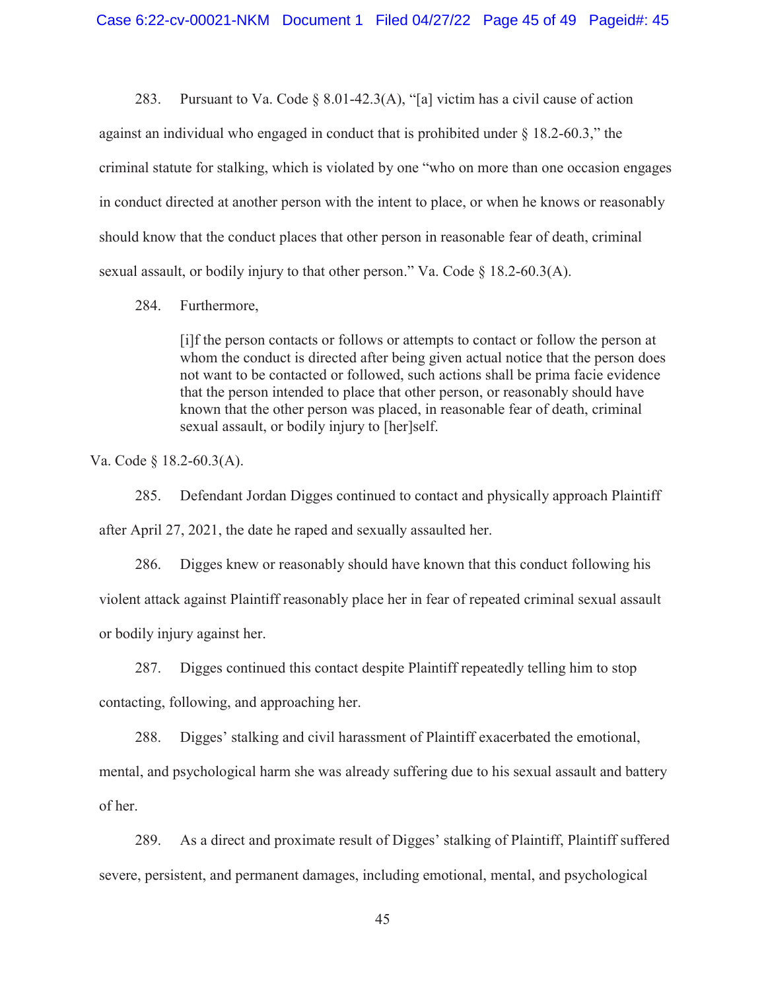283. Pursuant to Va. Code  $\S$  8.01-42.3(A), "[a] victim has a civil cause of action against an individual who engaged in conduct that is prohibited under § 18.2-60.3," the criminal statute for stalking, which is violated by one "who on more than one occasion engages in conduct directed at another person with the intent to place, or when he knows or reasonably should know that the conduct places that other person in reasonable fear of death, criminal sexual assault, or bodily injury to that other person." Va. Code  $\S$  18.2-60.3(A).

# 284. Furthermore,

[i]f the person contacts or follows or attempts to contact or follow the person at whom the conduct is directed after being given actual notice that the person does not want to be contacted or followed, such actions shall be prima facie evidence that the person intended to place that other person, or reasonably should have known that the other person was placed, in reasonable fear of death, criminal sexual assault, or bodily injury to [her]self.

Va. Code § 18.2-60.3(A).

285. Defendant Jordan Digges continued to contact and physically approach Plaintiff after April 27, 2021, the date he raped and sexually assaulted her.

286. Digges knew or reasonably should have known that this conduct following his violent attack against Plaintiff reasonably place her in fear of repeated criminal sexual assault or bodily injury against her.

287. Digges continued this contact despite Plaintiff repeatedly telling him to stop contacting, following, and approaching her.

288. Digges' stalking and civil harassment of Plaintiff exacerbated the emotional, mental, and psychological harm she was already suffering due to his sexual assault and battery of her.

289. As a direct and proximate result of Digges' stalking of Plaintiff, Plaintiff suffered severe, persistent, and permanent damages, including emotional, mental, and psychological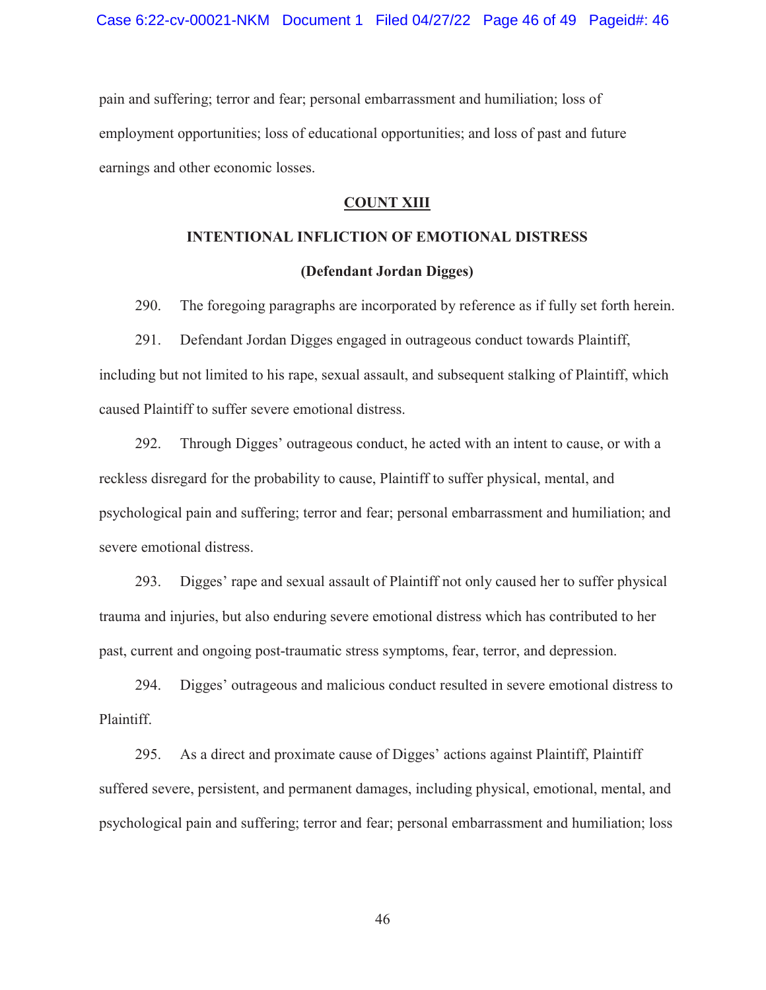pain and suffering; terror and fear; personal embarrassment and humiliation; loss of employment opportunities; loss of educational opportunities; and loss of past and future earnings and other economic losses.

# **COUNT XIII**

# **INTENTIONAL INFLICTION OF EMOTIONAL DISTRESS**

# **(Defendant Jordan Digges)**

290. The foregoing paragraphs are incorporated by reference as if fully set forth herein.

291. Defendant Jordan Digges engaged in outrageous conduct towards Plaintiff, including but not limited to his rape, sexual assault, and subsequent stalking of Plaintiff, which caused Plaintiff to suffer severe emotional distress.

292. Through Digges' outrageous conduct, he acted with an intent to cause, or with a reckless disregard for the probability to cause, Plaintiff to suffer physical, mental, and psychological pain and suffering; terror and fear; personal embarrassment and humiliation; and severe emotional distress.

293. Digges' rape and sexual assault of Plaintiff not only caused her to suffer physical trauma and injuries, but also enduring severe emotional distress which has contributed to her past, current and ongoing post-traumatic stress symptoms, fear, terror, and depression.

294. Digges' outrageous and malicious conduct resulted in severe emotional distress to Plaintiff.

295. As a direct and proximate cause of Digges' actions against Plaintiff, Plaintiff suffered severe, persistent, and permanent damages, including physical, emotional, mental, and psychological pain and suffering; terror and fear; personal embarrassment and humiliation; loss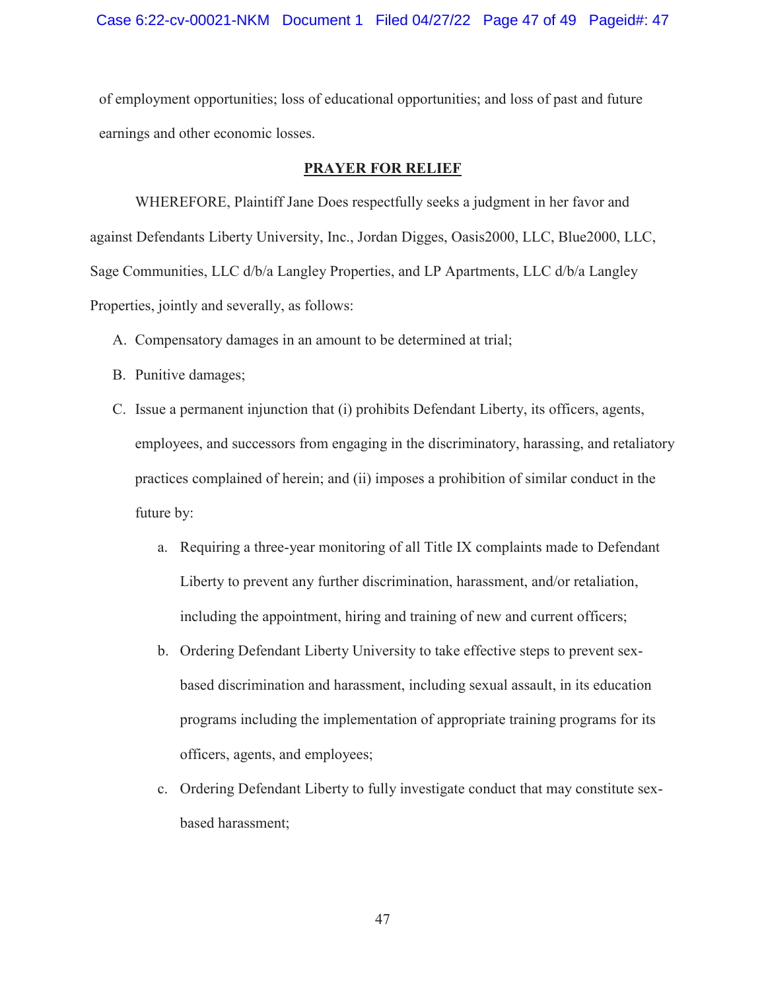of employment opportunities; loss of educational opportunities; and loss of past and future earnings and other economic losses.

# **PRAYER FOR RELIEF**

 WHEREFORE, Plaintiff Jane Does respectfully seeks a judgment in her favor and against Defendants Liberty University, Inc., Jordan Digges, Oasis2000, LLC, Blue2000, LLC, Sage Communities, LLC d/b/a Langley Properties, and LP Apartments, LLC d/b/a Langley Properties, jointly and severally, as follows:

- A. Compensatory damages in an amount to be determined at trial;
- B. Punitive damages;
- C. Issue a permanent injunction that (i) prohibits Defendant Liberty, its officers, agents, employees, and successors from engaging in the discriminatory, harassing, and retaliatory practices complained of herein; and (ii) imposes a prohibition of similar conduct in the future by:
	- a. Requiring a three-year monitoring of all Title IX complaints made to Defendant Liberty to prevent any further discrimination, harassment, and/or retaliation, including the appointment, hiring and training of new and current officers;
	- b. Ordering Defendant Liberty University to take effective steps to prevent sexbased discrimination and harassment, including sexual assault, in its education programs including the implementation of appropriate training programs for its officers, agents, and employees;
	- c. Ordering Defendant Liberty to fully investigate conduct that may constitute sexbased harassment;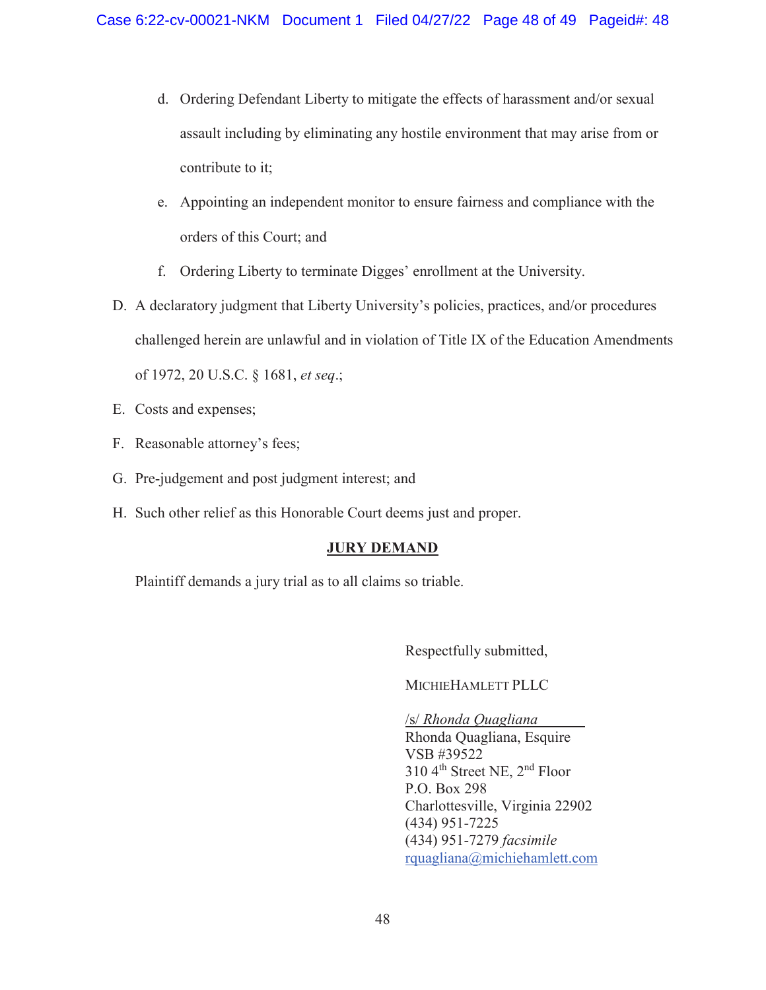- d. Ordering Defendant Liberty to mitigate the effects of harassment and/or sexual assault including by eliminating any hostile environment that may arise from or contribute to it;
- e. Appointing an independent monitor to ensure fairness and compliance with the orders of this Court; and
- f. Ordering Liberty to terminate Digges' enrollment at the University.
- D. A declaratory judgment that Liberty University's policies, practices, and/or procedures challenged herein are unlawful and in violation of Title IX of the Education Amendments of 1972, 20 U.S.C. § 1681, *et seq*.;
- E. Costs and expenses;
- F. Reasonable attorney's fees;
- G. Pre-judgement and post judgment interest; and
- H. Such other relief as this Honorable Court deems just and proper.

# **JURY DEMAND**

Plaintiff demands a jury trial as to all claims so triable.

Respectfully submitted,

MICHIEHAMLETT PLLC

/s/ *Rhonda Quagliana*  Rhonda Quagliana, Esquire VSB #39522 310 4th Street NE, 2nd Floor P.O. Box 298 Charlottesville, Virginia 22902 (434) 951-7225 (434) 951-7279 *facsimile*  rquagliana@michiehamlett.com